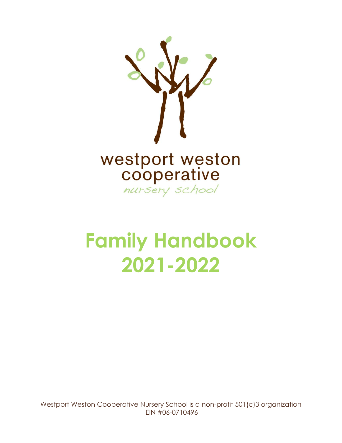

# **Family Handbook 2021-2022**

Westport Weston Cooperative Nursery School is a non-profit 501(c)3 organization EIN #06-0710496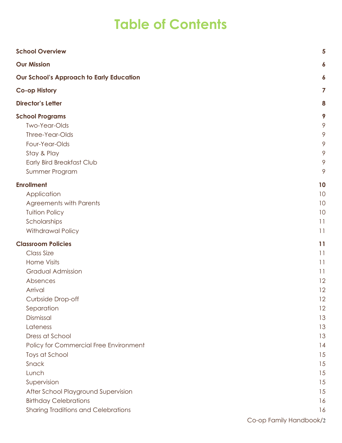# **Table of Contents**

| <b>School Overview</b>                          | 5               |
|-------------------------------------------------|-----------------|
| <b>Our Mission</b>                              | 6               |
| <b>Our School's Approach to Early Education</b> | 6               |
| <b>Co-op History</b>                            | 7               |
| <b>Director's Letter</b>                        | 8               |
| <b>School Programs</b>                          | 9               |
| <b>Two-Year-Olds</b>                            | 9               |
| Three-Year-Olds                                 | 9               |
| Four-Year-Olds                                  | 9               |
| Stay & Play                                     | 9               |
| Early Bird Breakfast Club                       | 9               |
| Summer Program                                  | 9               |
| <b>Enrollment</b>                               | 10              |
| Application                                     | 10              |
| <b>Agreements with Parents</b>                  | 10              |
| <b>Tuition Policy</b>                           | 10              |
| Scholarships                                    | 11              |
| Withdrawal Policy                               | 11              |
| <b>Classroom Policies</b>                       | 11              |
| <b>Class Size</b>                               | 11              |
| <b>Home Visits</b>                              | 11              |
| <b>Gradual Admission</b>                        | $\overline{11}$ |
| Absences                                        | 12              |
| Arrival                                         | 12              |
| Curbside Drop-off                               | 12              |
| Separation                                      | 12              |
| Dismissal                                       | 13              |
| Lateness                                        | 13              |
| Dress at School                                 | 13              |
| Policy for Commercial Free Environment          | 14              |
| Toys at School                                  | 15              |
| Snack                                           | 15              |
| Lunch                                           | 15              |
| Supervision                                     | 15              |
| After School Playground Supervision             | 15              |
| <b>Birthday Celebrations</b>                    | 16              |
| <b>Sharing Traditions and Celebrations</b>      | 16              |
|                                                 |                 |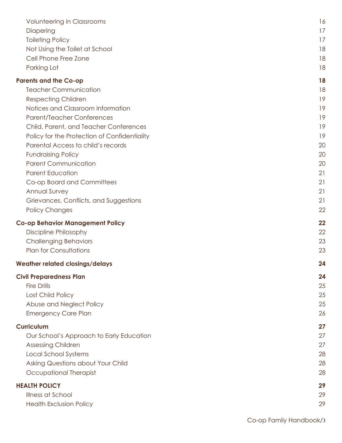| <b>Volunteering in Classrooms</b>            | 16 |
|----------------------------------------------|----|
| Diapering                                    | 17 |
| <b>Toileting Policy</b>                      | 17 |
| Not Using the Toilet at School               | 18 |
| Cell Phone Free Zone                         | 18 |
| Parking Lot                                  | 18 |
| <b>Parents and the Co-op</b>                 | 18 |
| <b>Teacher Communication</b>                 | 18 |
| <b>Respecting Children</b>                   | 19 |
| Notices and Classroom Information            | 19 |
| <b>Parent/Teacher Conferences</b>            | 19 |
| Child, Parent, and Teacher Conferences       | 19 |
| Policy for the Protection of Confidentiality | 19 |
| Parental Access to child's records           | 20 |
| <b>Fundraising Policy</b>                    | 20 |
| <b>Parent Communication</b>                  | 20 |
| <b>Parent Education</b>                      | 21 |
| Co-op Board and Committees                   | 21 |
| Annual Survey                                | 21 |
| Grievances, Conflicts, and Suggestions       | 21 |
| <b>Policy Changes</b>                        | 22 |
| <b>Co-op Behavior Management Policy</b>      | 22 |
| Discipline Philosophy                        | 22 |
| <b>Challenging Behaviors</b>                 | 23 |
| <b>Plan for Consultations</b>                | 23 |
| <b>Weather related closings/delays</b>       | 24 |
| <b>Civil Preparedness Plan</b>               | 24 |
| <b>Fire Drills</b>                           | 25 |
| Lost Child Policy                            | 25 |
| Abuse and Neglect Policy                     | 25 |
| <b>Emergency Care Plan</b>                   | 26 |
| <b>Curriculum</b>                            | 27 |
| Our School's Approach to Early Education     | 27 |
| <b>Assessing Children</b>                    | 27 |
| <b>Local School Systems</b>                  | 28 |
| Asking Questions about Your Child            | 28 |
| Occupational Therapist                       | 28 |
| <b>HEALTH POLICY</b>                         | 29 |
| Illness at School                            | 29 |
| <b>Health Exclusion Policy</b>               | 29 |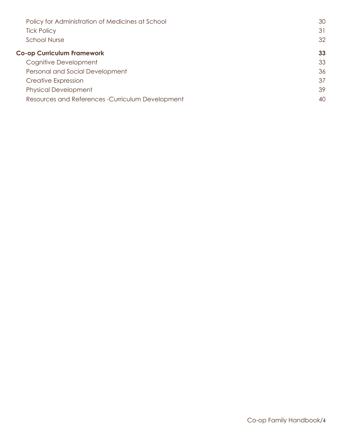| Policy for Administration of Medicines at School  | 30 |
|---------------------------------------------------|----|
| <b>Tick Policy</b>                                | 31 |
| <b>School Nurse</b>                               | 32 |
| <b>Co-op Curriculum Framework</b>                 | 33 |
| Cognitive Development                             | 33 |
| Personal and Social Development                   | 36 |
| <b>Creative Expression</b>                        | 37 |
| <b>Physical Development</b>                       | 39 |
| Resources and References - Curriculum Development | 40 |
|                                                   |    |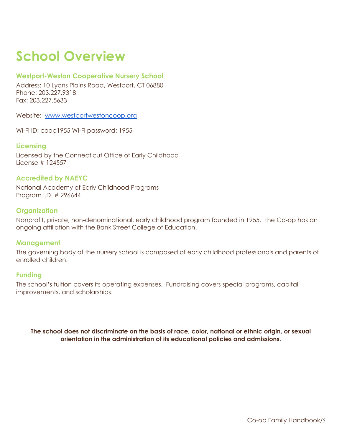# <span id="page-4-0"></span>**School Overview**

#### **Westport-Weston Cooperative Nursery School**

Address: 10 Lyons Plains Road, Westport, CT 06880 Phone: 203.227.9318 Fax: 203.227.5633

Website: [www.westportwestoncoop.org](http://www.westportwestoncoop.org)

Wi-Fi ID: coop1955 Wi-Fi password: 1955

#### **Licensing**

Licensed by the Connecticut Office of Early Childhood License # 124557

#### **Accredited by NAEYC**

National Academy of Early Childhood Programs Program I.D. # 296644

#### **Organization**

Nonprofit, private, non-denominational, early childhood program founded in 1955. The Co-op has an ongoing affiliation with the Bank Street College of Education.

#### **Management**

The governing body of the nursery school is composed of early childhood professionals and parents of enrolled children.

#### **Funding**

The school's tuition covers its operating expenses. Fundraising covers special programs, capital improvements, and scholarships.

**The school does not discriminate on the basis of race, color, national or ethnic origin, or sexual orientation in the administration of its educational policies and admissions.**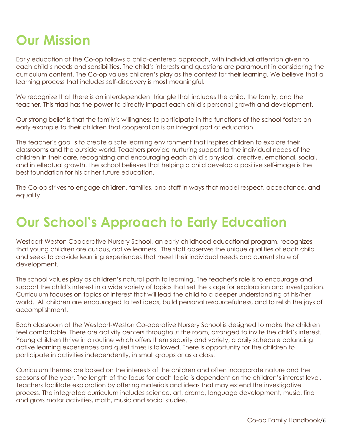# <span id="page-5-0"></span>**Our Mission**

Early education at the Co-op follows a child-centered approach, with individual attention given to each child's needs and sensibilities. The child's interests and questions are paramount in considering the curriculum content. The Co-op values children's play as the context for their learning. We believe that a learning process that includes self-discovery is most meaningful.

We recognize that there is an interdependent triangle that includes the child, the family, and the teacher. This triad has the power to directly impact each child's personal growth and development.

Our strong belief is that the family's willingness to participate in the functions of the school fosters an early example to their children that cooperation is an integral part of education.

The teacher's goal is to create a safe learning environment that inspires children to explore their classrooms and the outside world. Teachers provide nurturing support to the individual needs of the children in their care, recognizing and encouraging each child's physical, creative, emotional, social, and intellectual growth. The school believes that helping a child develop a positive self-image is the best foundation for his or her future education.

The Co-op strives to engage children, families, and staff in ways that model respect, acceptance, and equality.

# <span id="page-5-1"></span>**Our School's Approach to Early Education**

Westport-Weston Cooperative Nursery School, an early childhood educational program, recognizes that young children are curious, active learners. The staff observes the unique qualities of each child and seeks to provide learning experiences that meet their individual needs and current state of development.

The school values play as children's natural path to learning. The teacher's role is to encourage and support the child's interest in a wide variety of topics that set the stage for exploration and investigation. Curriculum focuses on topics of interest that will lead the child to a deeper understanding of his/her world. All children are encouraged to test ideas, build personal resourcefulness, and to relish the joys of accomplishment.

Each classroom at the Westport-Weston Co-operative Nursery School is designed to make the children feel comfortable. There are activity centers throughout the room, arranged to invite the child's interest. Young children thrive in a routine which offers them security and variety; a daily schedule balancing active learning experiences and quiet times is followed. There is opportunity for the children to participate in activities independently, in small groups or as a class.

Curriculum themes are based on the interests of the children and often incorporate nature and the seasons of the year. The length of the focus for each topic is dependent on the children's interest level. Teachers facilitate exploration by offering materials and ideas that may extend the investigative process. The integrated curriculum includes science, art, drama, language development, music, fine and gross motor activities, math, music and social studies.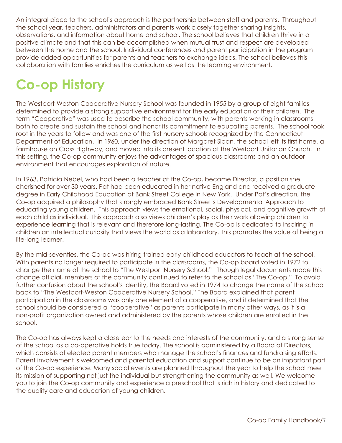An integral piece to the school's approach is the partnership between staff and parents. Throughout the school year, teachers, administrators and parents work closely together sharing insights, observations, and information about home and school. The school believes that children thrive in a positive climate and that this can be accomplished when mutual trust and respect are developed between the home and the school. Individual conferences and parent participation in the program provide added opportunities for parents and teachers to exchange ideas. The school believes this collaboration with families enriches the curriculum as well as the learning environment.

# <span id="page-6-0"></span>**Co-op History**

The Westport-Weston Cooperative Nursery School was founded in 1955 by a group of eight families determined to provide a strong supportive environment for the early education of their children. The term "Cooperative" was used to describe the school community, with parents working in classrooms both to create and sustain the school and honor its commitment to educating parents. The school took root in the years to follow and was one of the first nursery schools recognized by the Connecticut Department of Education. In 1960, under the direction of Margaret Sloan, the school left its first home, a farmhouse on Cross Highway, and moved into its present location at the Westport Unitarian Church. In this setting, the Co-op community enjoys the advantages of spacious classrooms and an outdoor environment that encourages exploration of nature.

In 1963, Patricia Nebel, who had been a teacher at the Co-op, became Director, a position she cherished for over 30 years. Pat had been educated in her native England and received a graduate degree in Early Childhood Education at Bank Street College in New York. Under Pat's direction, the Co-op acquired a philosophy that strongly embraced Bank Street's Developmental Approach to educating young children. This approach views the emotional, social, physical, and cognitive growth of each child as individual. This approach also views children's play as their work allowing children to experience learning that is relevant and therefore long-lasting. The Co-op is dedicated to inspiring in children an intellectual curiosity that views the world as a laboratory. This promotes the value of being a life-long learner.

By the mid-seventies, the Co-op was hiring trained early childhood educators to teach at the school. With parents no longer required to participate in the classrooms, the Co-op board voted in 1972 to change the name of the school to "The Westport Nursery School." Though legal documents made this change official, members of the community continued to refer to the school as "The Co-op." To avoid further confusion about the school's identity, the Board voted in 1974 to change the name of the school back to "The Westport-Weston Cooperative Nursery School." The Board explained that parent participation in the classrooms was only one element of a cooperative, and it determined that the school should be considered a "cooperative" as parents participate in many other ways, as it is a non-profit organization owned and administered by the parents whose children are enrolled in the school.

The Co-op has always kept a close ear to the needs and interests of the community, and a strong sense of the school as a co-operative holds true today. The school is administered by a Board of Directors, which consists of elected parent members who manage the school's finances and fundraising efforts. Parent involvement is welcomed and parental education and support continue to be an important part of the Co-op experience. Many social events are planned throughout the year to help the school meet its mission of supporting not just the individual but strengthening the community as well. We welcome you to join the Co-op community and experience a preschool that is rich in history and dedicated to the quality care and education of young children.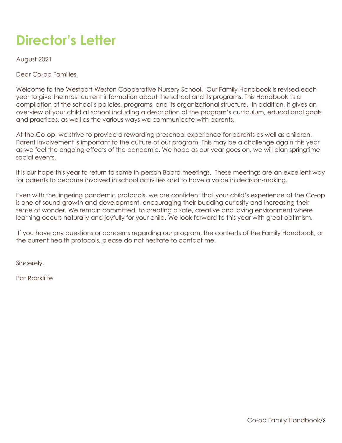# <span id="page-7-0"></span>**Director's Letter**

August 2021

Dear Co-op Families,

Welcome to the Westport-Weston Cooperative Nursery School. Our Family Handbook is revised each year to give the most current information about the school and its programs. This Handbook is a compilation of the school's policies, programs, and its organizational structure. In addition, it gives an overview of your child at school including a description of the program's curriculum, educational goals and practices, as well as the various ways we communicate with parents.

At the Co-op, we strive to provide a rewarding preschool experience for parents as well as children. Parent involvement is important to the culture of our program. This may be a challenge again this year as we feel the ongoing effects of the pandemic. We hope as our year goes on, we will plan springtime social events.

It is our hope this year to return to some in-person Board meetings. These meetings are an excellent way for parents to become involved in school activities and to have a voice in decision-making.

Even with the lingering pandemic protocols, we are confident that your child's experience at the Co-op is one of sound growth and development, encouraging their budding curiosity and increasing their sense of wonder. We remain committed to creating a safe, creative and loving environment where learning occurs naturally and joyfully for your child. We look forward to this year with great optimism.

If you have any questions or concerns regarding our program, the contents of the Family Handbook, or the current health protocols, please do not hesitate to contact me.

Sincerely,

Pat Rackliffe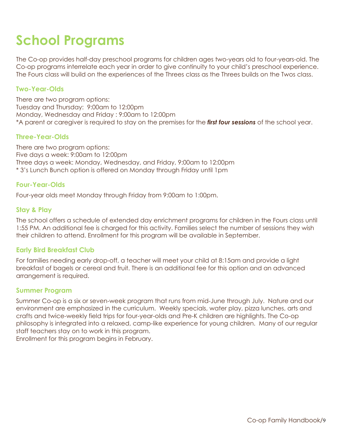# <span id="page-8-0"></span>**School Programs**

The Co-op provides half-day preschool programs for children ages two-years old to four-years-old. The Co-op programs interrelate each year in order to give continuity to your child's preschool experience. The Fours class will build on the experiences of the Threes class as the Threes builds on the Twos class.

#### <span id="page-8-1"></span>**Two-Year-Olds**

There are two program options: Tuesday and Thursday: 9:00am to 12:00pm Monday, Wednesday and Friday : 9:00am to 12:00pm \*A parent or caregiver is required to stay on the premises for the *first four sessions* of the school year.

#### <span id="page-8-2"></span>**Three-Year-Olds**

There are two program options: Five days a week: 9:00am to 12:00pm Three days a week: Monday, Wednesday, and Friday, 9:00am to 12:00pm \* 3's Lunch Bunch option is offered on Monday through Friday until 1pm

#### <span id="page-8-3"></span>**Four-Year-Olds**

<span id="page-8-4"></span>Four-year olds meet Monday through Friday from 9:00am to 1:00pm.

#### **Stay & Play**

The school offers a schedule of extended day enrichment programs for children in the Fours class until 1:55 PM. An additional fee is charged for this activity. Families select the number of sessions they wish their children to attend. Enrollment for this program will be available in September.

#### <span id="page-8-5"></span>**Early Bird Breakfast Club**

For families needing early drop-off, a teacher will meet your child at 8:15am and provide a light breakfast of bagels or cereal and fruit. There is an additional fee for this option and an advanced arrangement is required.

#### <span id="page-8-6"></span>**Summer Program**

Summer Co-op is a six or seven-week program that runs from mid-June through July. Nature and our environment are emphasized in the curriculum. Weekly specials, water play, pizza lunches, arts and crafts and twice-weekly field trips for four-year-olds and Pre-K children are highlights. The Co-op philosophy is integrated into a relaxed, camp-like experience for young children. Many of our regular staff teachers stay on to work in this program.

Enrollment for this program begins in February.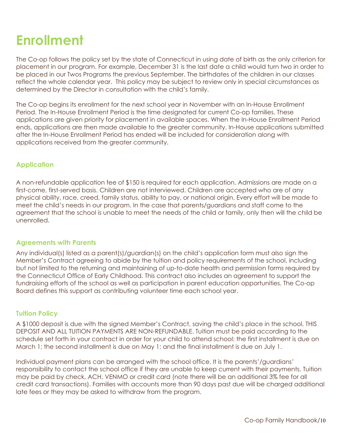# <span id="page-9-0"></span>**Enrollment**

The Co-op follows the policy set by the state of Connecticut in using date of birth as the only criterion for placement in our program. For example, December 31 is the last date a child would turn two in order to be placed in our Twos Programs the previous September. The birthdates of the children in our classes reflect the whole calendar year. This policy may be subject to review only in special circumstances as determined by the Director in consultation with the child's family.

The Co-op begins its enrollment for the next school year in November with an In-House Enrollment Period. The In-House Enrollment Period is the time designated for current Co-op families. These applications are given priority for placement in available spaces. When the In-House Enrollment Period ends, applications are then made available to the greater community. In-House applications submitted after the In-House Enrollment Period has ended will be included for consideration along with applications received from the greater community.

#### <span id="page-9-1"></span>**Application**

A non-refundable application fee of \$150 is required for each application. Admissions are made on a first-come, first-served basis. Children are not interviewed. Children are accepted who are of any physical ability, race, creed, family status, ability to pay, or national origin. Every effort will be made to meet the child's needs in our program. In the case that parents/guardians and staff come to the agreement that the school is unable to meet the needs of the child or family, only then will the child be unenrolled.

#### <span id="page-9-2"></span>**Agreements with Parents**

Any individual(s) listed as a parent(s)/guardian(s) on the child's application form must also sign the Member's Contract agreeing to abide by the tuition and policy requirements of the school, including but not limited to the returning and maintaining of up-to-date health and permission forms required by the Connecticut Office of Early Childhood. This contract also includes an agreement to support the fundraising efforts of the school as well as participation in parent education opportunities. The Co-op Board defines this support as contributing volunteer time each school year.

#### <span id="page-9-3"></span>**Tuition Policy**

A \$1000 deposit is due with the signed Member's Contract, saving the child's place in the school. THIS DEPOSIT AND ALL TUITION PAYMENTS ARE NON-REFUNDABLE. Tuition must be paid according to the schedule set forth in your contract in order for your child to attend school: the first installment is due on March 1; the second installment is due on May 1; and the final installment is due on July 1.

Individual payment plans can be arranged with the school office. It is the parents'/guardians' responsibility to contact the school office if they are unable to keep current with their payments. Tuition may be paid by check, ACH, VENMO or credit card (note there will be an additional 3% fee for all credit card transactions). Families with accounts more than 90 days past due will be charged additional late fees or they may be asked to withdraw from the program.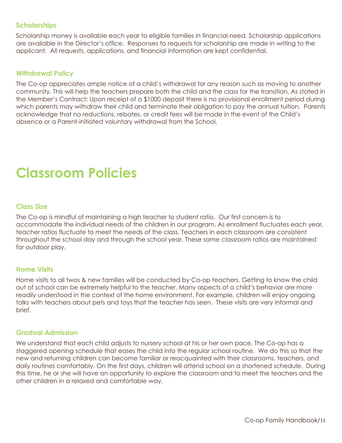#### <span id="page-10-0"></span>**Scholarships**

Scholarship money is available each year to eligible families in financial need. Scholarship applications are available in the Director's office. Responses to requests for scholarship are made in writing to the applicant. All requests, applications, and financial information are kept confidential.

#### <span id="page-10-1"></span>**Withdrawal Policy**

The Co-op appreciates ample notice of a child's withdrawal for any reason such as moving to another community. This will help the teachers prepare both the child and the class for the transition. As stated in the Member's Contract: Upon receipt of a \$1000 deposit there is no provisional enrollment period during which parents may withdraw their child and terminate their obligation to pay the annual tuition. Parents acknowledge that no reductions, rebates, or credit fees will be made in the event of the Child's absence or a Parent-initiated voluntary withdrawal from the School.

### <span id="page-10-2"></span>**Classroom Policies**

#### <span id="page-10-3"></span>**Class Size**

The Co-op is mindful of maintaining a high teacher to student ratio. Our first concern is to accommodate the individual needs of the children in our program. As enrollment fluctuates each year, teacher ratios fluctuate to meet the needs of the class. Teachers in each classroom are consistent throughout the school day and through the school year. These same classroom ratios are maintained for outdoor play.

#### <span id="page-10-4"></span>**Home Visits**

Home visits to all twos & new families will be conducted by Co-op teachers. Getting to know the child out of school can be extremely helpful to the teacher. Many aspects of a child's behavior are more readily understood in the context of the home environment. For example, children will enjoy ongoing talks with teachers about pets and toys that the teacher has seen. These visits are very informal and brief.

#### <span id="page-10-5"></span>**Gradual Admission**

We understand that each child adjusts to nursery school at his or her own pace. The Co-op has a staggered opening schedule that eases the child into the regular school routine. We do this so that the new and returning children can become familiar or reacquainted with their classrooms, teachers, and daily routines comfortably. On the first days, children will attend school on a shortened schedule. During this time, he or she will have an opportunity to explore the classroom and to meet the teachers and the other children in a relaxed and comfortable way.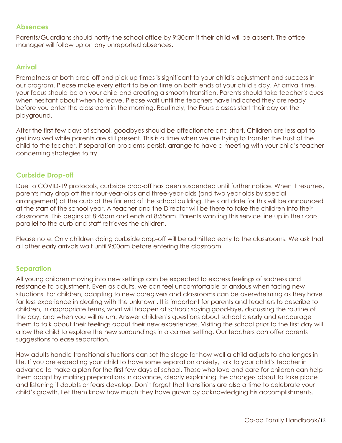#### <span id="page-11-0"></span>**Absences**

Parents/Guardians should notify the school office by 9:30am if their child will be absent. The office manager will follow up on any unreported absences.

#### <span id="page-11-1"></span>**Arrival**

Promptness at both drop-off and pick-up times is significant to your child's adjustment and success in our program. Please make every effort to be on time on both ends of your child's day. At arrival time, your focus should be on your child and creating a smooth transition. Parents should take teacher's cues when hesitant about when to leave. Please wait until the teachers have indicated they are ready before you enter the classroom in the morning. Routinely, the Fours classes start their day on the playground.

After the first few days of school, goodbyes should be affectionate and short. Children are less apt to get involved while parents are still present. This is a time when we are trying to transfer the trust of the child to the teacher. If separation problems persist, arrange to have a meeting with your child's teacher concerning strategies to try.

#### <span id="page-11-2"></span>**Curbside Drop-off**

Due to COVID-19 protocols, curbside drop-off has been suspended until further notice. When it resumes, parents may drop off their four-year-olds and three-year-olds (and two year olds by special arrangement) at the curb at the far end of the school building. The start date for this will be announced at the start of the school year. A teacher and the Director will be there to take the children into their classrooms. This begins at 8:45am and ends at 8:55am. Parents wanting this service line up in their cars parallel to the curb and staff retrieves the children.

Please note: Only children doing curbside drop-off will be admitted early to the classrooms. We ask that all other early arrivals wait until 9:00am before entering the classroom.

#### <span id="page-11-3"></span>**Separation**

All young children moving into new settings can be expected to express feelings of sadness and resistance to adjustment. Even as adults, we can feel uncomfortable or anxious when facing new situations. For children, adapting to new caregivers and classrooms can be overwhelming as they have far less experience in dealing with the unknown. It is important for parents and teachers to describe to children, in appropriate terms, what will happen at school: saying good-bye, discussing the routine of the day, and when you will return. Answer children's questions about school clearly and encourage them to talk about their feelings about their new experiences. Visiting the school prior to the first day will allow the child to explore the new surroundings in a calmer setting. Our teachers can offer parents suggestions to ease separation.

How adults handle transitional situations can set the stage for how well a child adjusts to challenges in life. If you are expecting your child to have some separation anxiety, talk to your child's teacher in advance to make a plan for the first few days of school. Those who love and care for children can help them adapt by making preparations in advance, clearly explaining the changes about to take place and listening if doubts or fears develop. Don't forget that transitions are also a time to celebrate your child's growth. Let them know how much they have grown by acknowledging his accomplishments.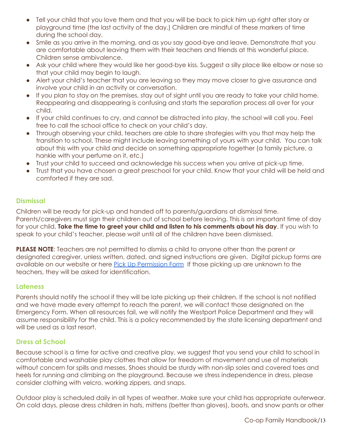- Tell your child that you love them and that you will be back to pick him up right after story or playground time (the last activity of the day.) Children are mindful of these markers of time during the school day.
- Smile as you arrive in the morning, and as you say good-bye and leave. Demonstrate that you are comfortable about leaving them with their teachers and friends at this wonderful place. Children sense ambivalence.
- Ask your child where they would like her good-bye kiss. Suggest a silly place like elbow or nose so that your child may begin to laugh.
- Alert your child's teacher that you are leaving so they may move closer to give assurance and involve your child in an activity or conversation.
- If you plan to stay on the premises, stay out of sight until you are ready to take your child home. Reappearing and disappearing is confusing and starts the separation process all over for your child.
- If your child continues to cry, and cannot be distracted into play, the school will call you. Feel free to call the school office to check on your child's day.
- Through observing your child, teachers are able to share strategies with you that may help the transition to school. These might include leaving something of yours with your child. You can talk about this with your child and decide on something appropriate together (a family picture, a hankie with your perfume on it, etc.)
- Trust your child to succeed and acknowledge his success when you arrive at pick-up time.
- Trust that you have chosen a great preschool for your child. Know that your child will be held and comforted if they are sad.

#### <span id="page-12-0"></span>**Dismissal**

Children will be ready for pick-up and handed off to parents/guardians at dismissal time. Parents/caregivers must sign their children out of school before leaving. This is an important time of day for your child. **Take the time to greet your child and listen to his comments about his day**. If you wish to speak to your child's teacher, please wait until all of the children have been dismissed.

**PLEASE NOTE**: Teachers are not permitted to dismiss a child to anyone other than the parent or designated caregiver, unless written, dated, and signed instructions are given. Digital pickup forms are available on our website or here Pick Up [Permission](https://form.jotform.com/WWCNS/pick-up-permission-form) Form If those picking up are unknown to the teachers, they will be asked for identification.

#### <span id="page-12-1"></span>**Lateness**

Parents should notify the school if they will be late picking up their children. If the school is not notified and we have made every attempt to reach the parent, we will contact those designated on the Emergency Form. When all resources fail, we will notify the Westport Police Department and they will assume responsibility for the child. This is a policy recommended by the state licensing department and will be used as a last resort.

#### <span id="page-12-2"></span>**Dress at School**

Because school is a time for active and creative play, we suggest that you send your child to school in comfortable and washable play clothes that allow for freedom of movement and use of materials without concern for spills and messes. Shoes should be sturdy with non-slip soles and covered toes and heels for running and climbing on the playground. Because we stress independence in dress, please consider clothing with velcro, working zippers, and snaps.

Outdoor play is scheduled daily in all types of weather. Make sure your child has appropriate outerwear. On cold days, please dress children in hats, mittens (better than gloves), boots, and snow pants or other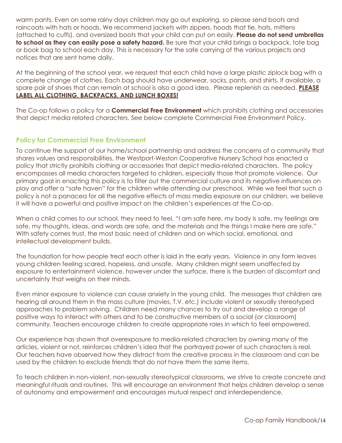warm pants. Even on some rainy days children may go out exploring, so please send boots and raincoats with hats or hoods. We recommend jackets with zippers, hoods that tie, hats, mittens (attached to cuffs), and oversized boots that your child can put on easily. **Please do not send umbrellas to school as they can easily pose a safety hazard.** Be sure that your child brings a backpack, tote bag or book bag to school each day. This is necessary for the safe carrying of the various projects and notices that are sent home daily.

At the beginning of the school year, we request that each child have a large plastic ziplock bag with a complete change of clothes. Each bag should have underwear, socks, pants, and shirts. If available, a spare pair of shoes that can remain at school is also a good idea. Please replenish as needed. **PLEASE LABEL ALL CLOTHING**, **BACKPACKS, AND LUNCH BOXES!**

The Co-op follows a policy for a **Commercial Free Environment** which prohibits clothing and accessories that depict media related characters. See below complete Commercial Free Environment Policy.

#### <span id="page-13-0"></span>**Policy for Commercial Free Environment**

To continue the support of our home/school partnership and address the concerns of a community that shares values and responsibilities, the Westport-Weston Cooperative Nursery School has enacted a policy that strictly prohibits clothing or accessories that depict media-related characters. The policy encompasses all media characters targeted to children, especially those that promote violence. Our primary goal in enacting this policy is to filter out the commercial culture and its negative influences on play and offer a "safe haven" for the children while attending our preschool. While we feel that such a policy is not a panacea for all the negative effects of mass media exposure on our children, we believe it will have a powerful and positive impact on the children's experiences at the Co-op.

When a child comes to our school, they need to feel, "I am safe here, my body is safe, my feelings are safe, my thoughts, ideas, and words are safe, and the materials and the things I make here are safe." With safety comes trust, the most basic need of children and on which social, emotional, and intellectual development builds.

The foundation for how people treat each other is laid in the early years. Violence in any form leaves young children feeling scared, hopeless, and unsafe. Many children might seem unaffected by exposure to entertainment violence, however under the surface, there is the burden of discomfort and uncertainty that weighs on their minds.

Even minor exposure to violence can cause anxiety in the young child. The messages that children are hearing all around them in the mass culture (movies, T.V. etc.) include violent or sexually stereotyped approaches to problem solving. Children need many chances to try out and develop a range of positive ways to interact with others and to be constructive members of a social (or classroom) community. Teachers encourage children to create appropriate roles in which to feel empowered.

Our experience has shown that overexposure to media-related characters by owning many of the articles, violent or not, reinforces children's idea that the portrayed power of such characters is real. Our teachers have observed how they distract from the creative process in the classroom and can be used by the children to exclude friends that do not have them the same items.

To teach children in non-violent, non-sexually stereotypical classrooms, we strive to create concrete and meaningful rituals and routines. This will encourage an environment that helps children develop a sense of autonomy and empowerment and encourages mutual respect and interdependence.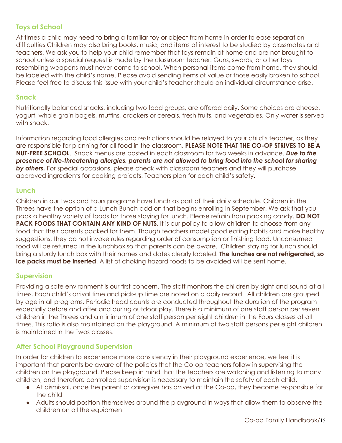#### <span id="page-14-0"></span>**Toys at School**

At times a child may need to bring a familiar toy or object from home in order to ease separation difficulties Children may also bring books, music, and items of interest to be studied by classmates and teachers. We ask you to help your child remember that toys remain at home and are not brought to school unless a special request is made by the classroom teacher. Guns, swords, or other toys resembling weapons must never come to school. When personal items come from home, they should be labeled with the child's name. Please avoid sending items of value or those easily broken to school. Please feel free to discuss this issue with your child's teacher should an individual circumstance arise.

#### <span id="page-14-1"></span>**Snack**

Nutritionally balanced snacks, including two food groups, are offered daily. Some choices are cheese, yogurt, whole grain bagels, muffins, crackers or cereals, fresh fruits, and vegetables. Only water is served with snack.

Information regarding food allergies and restrictions should be relayed to your child's teacher, as they are responsible for planning for all food in the classroom. **PLEASE NOTE THAT THE CO-OP STRIVES TO BE A NUT-FREE SCHOOL**. Snack menus are posted in each classroom for two weeks in advance. *Due to the presence of life-threatening allergies, parents are not allowed to bring food into the school for sharing by others.* For special occasions, please check with classroom teachers and they will purchase approved ingredients for cooking projects. Teachers plan for each child's safety.

#### <span id="page-14-2"></span>**Lunch**

Children in our Twos and Fours programs have lunch as part of their daily schedule. Children in the Threes have the option of a Lunch Bunch add on that begins enrolling in September. We ask that you pack a healthy variety of foods for those staying for lunch. Please refrain from packing candy. **DO NOT PACK FOODS THAT CONTAIN ANY KIND OF NUTS**. It is our policy to allow children to choose from any food that their parents packed for them. Though teachers model good eating habits and make healthy suggestions, they do not invoke rules regarding order of consumption or finishing food. Unconsumed food will be returned in the lunchbox so that parents can be aware. Children staying for lunch should bring a sturdy lunch box with their names and dates clearly labeled. **The lunches are not refrigerated, so ice packs must be inserted**. A list of choking hazard foods to be avoided will be sent home.

#### <span id="page-14-3"></span>**Supervision**

Providing a safe environment is our first concern. The staff monitors the children by sight and sound at all times. Each child's arrival time and pick-up time are noted on a daily record. All children are grouped by age in all programs. Periodic head counts are conducted throughout the duration of the program especially before and after and during outdoor play. There is a minimum of one staff person per seven children in the Threes and a minimum of one staff person per eight children in the Fours classes at all times. This ratio is also maintained on the playground. A minimum of two staff persons per eight children is maintained in the Twos classes.

#### <span id="page-14-4"></span>**After School Playground Supervision**

In order for children to experience more consistency in their playground experience, we feel it is important that parents be aware of the policies that the Co-op teachers follow in supervising the children on the playground. Please keep in mind that the teachers are watching and listening to many children, and therefore controlled supervision is necessary to maintain the safety of each child.

- At dismissal, once the parent or caregiver has arrived at the Co-op, they become responsible for the child
- Adults should position themselves around the playground in ways that allow them to observe the children on all the equipment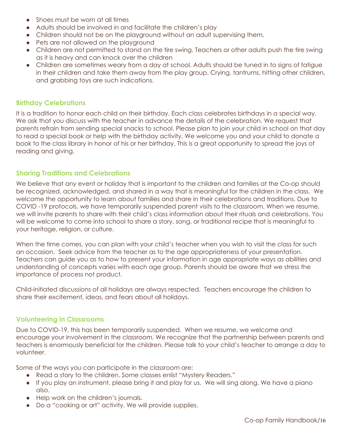- Shoes must be worn at all times
- Adults should be involved in and facilitate the children's play
- Children should not be on the playground without an adult supervising them.
- Pets are not allowed on the playground
- Children are not permitted to stand on the tire swing. Teachers or other adults push the tire swing as it is heavy and can knock over the children
- Children are sometimes weary from a day at school. Adults should be tuned in to signs of fatigue in their children and take them away from the play group. Crying, tantrums, hitting other children, and grabbing toys are such indications.

#### <span id="page-15-0"></span>**Birthday Celebrations**

It is a tradition to honor each child on their birthday. Each class celebrates birthdays in a special way. We ask that you discuss with the teacher in advance the details of the celebration. We request that parents refrain from sending special snacks to school. Please plan to join your child in school on that day to read a special book or help with the birthday activity. We welcome you and your child to donate a book to the class library in honor of his or her birthday. This is a great opportunity to spread the joys of reading and giving.

#### <span id="page-15-1"></span>**Sharing Traditions and Celebrations**

We believe that any event or holiday that is important to the children and families at the Co-op should be recognized, acknowledged, and shared in a way that is meaningful for the children in the class. We welcome the opportunity to learn about families and share in their celebrations and traditions. Due to COVID -19 protocols, we have temporarily suspended parent visits to the classroom. When we resume, we will invite parents to share with their child's class information about their rituals and celebrations. You will be welcome to come into school to share a story, song, or traditional recipe that is meaningful to your heritage, religion, or culture.

When the time comes, you can plan with your child's teacher when you wish to visit the class for such an occasion. Seek advice from the teacher as to the age appropriateness of your presentation. Teachers can guide you as to how to present your information in age appropriate ways as abilities and understanding of concepts varies with each age group. Parents should be aware that we stress the importance of process not product.

Child-initiated discussions of all holidays are always respected. Teachers encourage the children to share their excitement, ideas, and fears about all holidays.

#### <span id="page-15-2"></span>**Volunteering in Classrooms**

Due to COVID-19, this has been temporarily suspended. When we resume, we welcome and encourage your involvement in the classroom. We recognize that the partnership between parents and teachers is enormously beneficial for the children. Please talk to your child's teacher to arrange a day to volunteer.

Some of the ways you can participate in the classroom are:

- Read a story to the children. Some classes enlist "Mystery Readers."
- If you play an instrument, please bring it and play for us. We will sing along. We have a piano also.
- Help work on the children's journals.
- Do a "cooking or art" activity. We will provide supplies.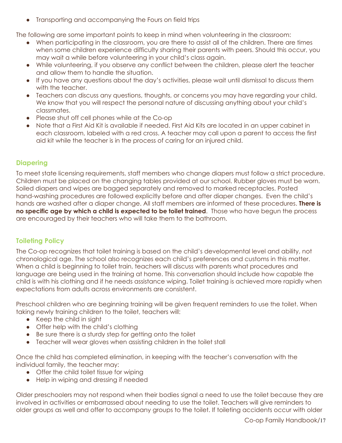● Transporting and accompanying the Fours on field trips

The following are some important points to keep in mind when volunteering in the classroom:

- When participating in the classroom, you are there to assist all of the children. There are times when some children experience difficulty sharing their parents with peers. Should this occur, you may wait a while before volunteering in your child's class again.
- While volunteering, if you observe any conflict between the children, please alert the teacher and allow them to handle the situation.
- If you have any questions about the day's activities, please wait until dismissal to discuss them with the teacher.
- Teachers can discuss any questions, thoughts, or concerns you may have regarding your child. We know that you will respect the personal nature of discussing anything about your child's classmates.
- Please shut off cell phones while at the Co-op
- Note that a First Aid Kit is available if needed. First Aid Kits are located in an upper cabinet in each classroom, labeled with a red cross. A teacher may call upon a parent to access the first aid kit while the teacher is in the process of caring for an injured child.

#### <span id="page-16-0"></span>**Diapering**

To meet state licensing requirements, staff members who change diapers must follow a strict procedure. Children must be placed on the changing tables provided at our school. Rubber gloves must be worn. Soiled diapers and wipes are bagged separately and removed to marked receptacles. Posted hand-washing procedures are followed explicitly before and after diaper changes. Even the child's hands are washed after a diaper change. All staff members are informed of these procedures. **There is no specific age by which a child is expected to be toilet trained**. Those who have begun the process are encouraged by their teachers who will take them to the bathroom.

#### <span id="page-16-1"></span>**Toileting Policy**

The Co-op recognizes that toilet training is based on the child's developmental level and ability, not chronological age. The school also recognizes each child's preferences and customs in this matter. When a child is beginning to toilet train, teachers will discuss with parents what procedures and language are being used in the training at home. This conversation should include how capable the child is with his clothing and if he needs assistance wiping. Toilet training is achieved more rapidly when expectations from adults across environments are consistent.

Preschool children who are beginning training will be given frequent reminders to use the toilet. When taking newly training children to the toilet, teachers will:

- Keep the child in sight
- Offer help with the child's clothing
- Be sure there is a sturdy step for getting onto the toilet
- Teacher will wear gloves when assisting children in the toilet stall

Once the child has completed elimination, in keeping with the teacher's conversation with the individual family, the teacher may:

- Offer the child toilet tissue for wiping
- Help in wiping and dressing if needed

Older preschoolers may not respond when their bodies signal a need to use the toilet because they are involved in activities or embarrassed about needing to use the toilet. Teachers will give reminders to older groups as well and offer to accompany groups to the toilet. If toileting accidents occur with older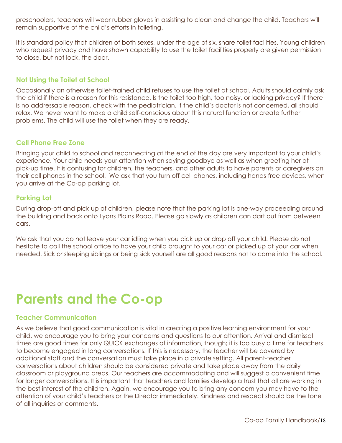preschoolers, teachers will wear rubber gloves in assisting to clean and change the child. Teachers will remain supportive of the child's efforts in toileting.

It is standard policy that children of both sexes, under the age of six, share toilet facilities. Young children who request privacy and have shown capability to use the toilet facilities properly are given permission to close, but not lock, the door.

#### <span id="page-17-0"></span>**Not Using the Toilet at School**

Occasionally an otherwise toilet-trained child refuses to use the toilet at school. Adults should calmly ask the child if there is a reason for this resistance. Is the toilet too high, too noisy, or lacking privacy? If there is no addressable reason, check with the pediatrician. If the child's doctor is not concerned, all should relax. We never want to make a child self-conscious about this natural function or create further problems. The child will use the toilet when they are ready.

#### <span id="page-17-1"></span>**Cell Phone Free Zone**

Bringing your child to school and reconnecting at the end of the day are very important to your child's experience. Your child needs your attention when saying goodbye as well as when greeting her at pick-up time. It is confusing for children, the teachers, and other adults to have parents or caregivers on their cell phones in the school. We ask that you turn off cell phones, including hands-free devices, when you arrive at the Co-op parking lot.

#### <span id="page-17-2"></span>**Parking Lot**

During drop-off and pick up of children, please note that the parking lot is one-way proceeding around the building and back onto Lyons Plains Road. Please go slowly as children can dart out from between cars.

We ask that you do not leave your car idling when you pick up or drop off your child. Please do not hesitate to call the school office to have your child brought to your car or picked up at your car when needed. Sick or sleeping siblings or being sick yourself are all good reasons not to come into the school.

### <span id="page-17-3"></span>**Parents and the Co-op**

#### <span id="page-17-4"></span>**Teacher Communication**

As we believe that good communication is vital in creating a positive learning environment for your child, we encourage you to bring your concerns and questions to our attention. Arrival and dismissal times are good times for only QUICK exchanges of information, though; it is too busy a time for teachers to become engaged in long conversations. If this is necessary, the teacher will be covered by additional staff and the conversation must take place in a private setting. All parent-teacher conversations about children should be considered private and take place away from the daily classroom or playground areas. Our teachers are accommodating and will suggest a convenient time for longer conversations. It is important that teachers and families develop a trust that all are working in the best interest of the children. Again, we encourage you to bring any concern you may have to the attention of your child's teachers or the Director immediately. Kindness and respect should be the tone of all inquiries or comments.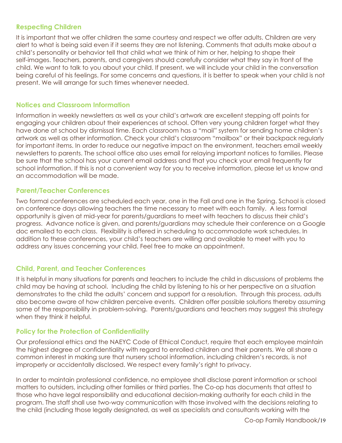#### <span id="page-18-0"></span>**Respecting Children**

It is important that we offer children the same courtesy and respect we offer adults. Children are very alert to what is being said even if it seems they are not listening. Comments that adults make about a child's personality or behavior tell that child what we think of him or her, helping to shape their self-images. Teachers, parents, and caregivers should carefully consider what they say in front of the child. We want to talk to you about your child. If present, we will include your child in the conversation being careful of his feelings. For some concerns and questions, it is better to speak when your child is not present. We will arrange for such times whenever needed.

#### <span id="page-18-1"></span>**Notices and Classroom Information**

Information in weekly newsletters as well as your child's artwork are excellent stepping off points for engaging your children about their experiences at school. Often very young children forget what they have done at school by dismissal time. Each classroom has a "mail" system for sending home children's artwork as well as other information. Check your child's classroom "mailbox" or their backpack regularly for important items. In order to reduce our negative impact on the environment, teachers email weekly newsletters to parents. The school office also uses email for relaying important notices to families. Please be sure that the school has your current email address and that you check your email frequently for school information. If this is not a convenient way for you to receive information, please let us know and an accommodation will be made.

#### <span id="page-18-2"></span>**Parent/Teacher Conferences**

Two formal conferences are scheduled each year, one in the Fall and one in the Spring. School is closed on conference days allowing teachers the time necessary to meet with each family. A less formal opportunity is given at mid-year for parents/guardians to meet with teachers to discuss their child's progress. Advance notice is given, and parents/guardians may schedule their conference on a Google doc emailed to each class. Flexibility is offered in scheduling to accommodate work schedules. In addition to these conferences, your child's teachers are willing and available to meet with you to address any issues concerning your child. Feel free to make an appointment.

#### <span id="page-18-3"></span>**Child, Parent, and Teacher Conferences**

It is helpful in many situations for parents and teachers to include the child in discussions of problems the child may be having at school. Including the child by listening to his or her perspective on a situation demonstrates to the child the adults' concern and support for a resolution. Through this process, adults also become aware of how children perceive events. Children offer possible solutions thereby assuming some of the responsibility in problem-solving. Parents/guardians and teachers may suggest this strategy when they think it helpful.

#### <span id="page-18-4"></span>**Policy for the Protection of Confidentiality**

Our professional ethics and the NAEYC Code of Ethical Conduct, require that each employee maintain the highest degree of confidentiality with regard to enrolled children and their parents. We all share a common interest in making sure that nursery school information, including children's records, is not improperly or accidentally disclosed. We respect every family's right to privacy.

In order to maintain professional confidence, no employee shall disclose parent information or school matters to outsiders, including other families or third parties. The Co-op has documents that attest to those who have legal responsibility and educational decision-making authority for each child in the program. The staff shall use two-way communication with those involved with the decisions relating to the child (including those legally designated, as well as specialists and consultants working with the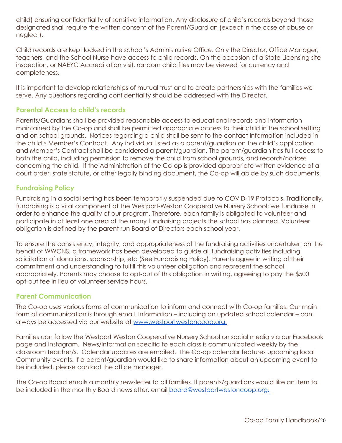child) ensuring confidentiality of sensitive information. Any disclosure of child's records beyond those designated shall require the written consent of the Parent/Guardian (except in the case of abuse or neglect).

Child records are kept locked in the school's Administrative Office. Only the Director, Office Manager, teachers, and the School Nurse have access to child records. On the occasion of a State Licensing site inspection, or NAEYC Accreditation visit, random child files may be viewed for currency and completeness.

It is important to develop relationships of mutual trust and to create partnerships with the families we serve. Any questions regarding confidentiality should be addressed with the Director.

#### <span id="page-19-0"></span>**Parental Access to child's records**

Parents/Guardians shall be provided reasonable access to educational records and information maintained by the Co-op and shall be permitted appropriate access to their child in the school setting and on school grounds. Notices regarding a child shall be sent to the contact information included in the child's Member's Contract. Any individual listed as a parent/guardian on the child's application and Member's Contract shall be considered a parent/guardian. The parent/guardian has full access to both the child, including permission to remove the child from school grounds, and records/notices concerning the child. If the Administration of the Co-op is provided appropriate written evidence of a court order, state statute, or other legally binding document, the Co-op will abide by such documents.

#### <span id="page-19-1"></span>**Fundraising Policy**

Fundraising in a social setting has been temporarily suspended due to COVID-19 Protocols. Traditionally, fundraising is a vital component at the Westport-Weston Cooperative Nursery School; we fundraise in order to enhance the quality of our program. Therefore, each family is obligated to volunteer and participate in at least one area of the many fundraising projects the school has planned. Volunteer obligation is defined by the parent run Board of Directors each school year.

To ensure the consistency, integrity, and appropriateness of the fundraising activities undertaken on the behalf of WWCNS, a framework has been developed to guide all fundraising activities including solicitation of donations, sponsorship, etc (See Fundraising Policy). Parents agree in writing of their commitment and understanding to fulfill this volunteer obligation and represent the school appropriately. Parents may choose to opt-out of this obligation in writing, agreeing to pay the \$500 opt-out fee in lieu of volunteer service hours.

#### <span id="page-19-2"></span>**Parent Communication**

The Co-op uses various forms of communication to inform and connect with Co-op families. Our main form of communication is through email. Information – including an updated school calendar – can always be accessed via our website at [www.westportwestoncoop.org.](http://www.westportwestoncoop.org.)

Families can follow the Westport Weston Cooperative Nursery School on social media via our Facebook page and Instagram. News/information specific to each class is communicated weekly by the classroom teacher/s. Calendar updates are emailed. The Co-op calendar features upcoming local Community events. If a parent/guardian would like to share information about an upcoming event to be included, please contact the office manager.

The Co-op Board emails a monthly newsletter to all families. If parents/guardians would like an item to be included in the monthly Board newsletter, email [board@westportwestoncoop.org.](mailto:board@westportwestoncoop.org)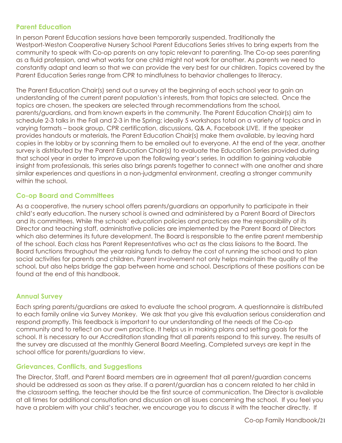#### <span id="page-20-0"></span>**Parent Education**

In person Parent Education sessions have been temporarily suspended. Traditionally the Westport-Weston Cooperative Nursery School Parent Educations Series strives to bring experts from the community to speak with Co-op parents on any topic relevant to parenting. The Co-op sees parenting as a fluid profession, and what works for one child might not work for another. As parents we need to constantly adapt and learn so that we can provide the very best for our children. Topics covered by the Parent Education Series range from CPR to mindfulness to behavior challenges to literacy.

The Parent Education Chair(s) send out a survey at the beginning of each school year to gain an understanding of the current parent population's interests, from that topics are selected. Once the topics are chosen, the speakers are selected through recommendations from the school, parents/guardians, and from known experts in the community. The Parent Education Chair(s) aim to schedule 2-3 talks in the Fall and 2-3 in the Spring; ideally 5 workshops total on a variety of topics and in varying formats – book group, CPR certification, discussions, Q& A, Facebook LIVE. If the speaker provides handouts or materials, the Parent Education Chair(s) make them available, by leaving hard copies in the lobby or by scanning them to be emailed out to everyone. At the end of the year, another survey is distributed by the Parent Education Chair(s) to evaluate the Education Series provided during that school year in order to improve upon the following year's series. In addition to gaining valuable insight from professionals, this series also brings parents together to connect with one another and share similar experiences and questions in a non-judgmental environment, creating a stronger community within the school.

#### <span id="page-20-1"></span>**Co-op Board and Committees**

As a cooperative, the nursery school offers parents/guardians an opportunity to participate in their child's early education. The nursery school is owned and administered by a Parent Board of Directors and its committees. While the schools' education policies and practices are the responsibility of its Director and teaching staff, administrative policies are implemented by the Parent Board of Directors which also determines its future development. The Board is responsible to the entire parent membership of the school. Each class has Parent Representatives who act as the class liaisons to the Board. The Board functions throughout the year raising funds to defray the cost of running the school and to plan social activities for parents and children. Parent involvement not only helps maintain the quality of the school, but also helps bridge the gap between home and school. Descriptions of these positions can be found at the end of this handbook.

#### <span id="page-20-2"></span>**Annual Survey**

Each spring parents/guardians are asked to evaluate the school program. A questionnaire is distributed to each family online via Survey Monkey. We ask that you give this evaluation serious consideration and respond promptly. This feedback is important to our understanding of the needs of the Co-op community and to reflect on our own practice. It helps us in making plans and setting goals for the school. It is necessary to our Accreditation standing that all parents respond to this survey. The results of the survey are discussed at the monthly General Board Meeting. Completed surveys are kept in the school office for parents/guardians to view.

#### <span id="page-20-3"></span>**Grievances, Conflicts, and Suggestions**

The Director, Staff, and Parent Board members are in agreement that all parent/guardian concerns should be addressed as soon as they arise. If a parent/guardian has a concern related to her child in the classroom setting, the teacher should be the first source of communication. The Director is available at all times for additional consultation and discussion on all issues concerning the school. If you feel you have a problem with your child's teacher, we encourage you to discuss it with the teacher directly. If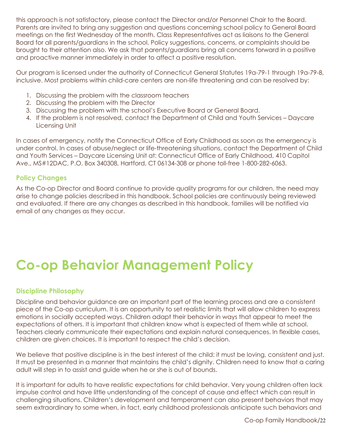this approach is not satisfactory, please contact the Director and/or Personnel Chair to the Board. Parents are invited to bring any suggestion and questions concerning school policy to General Board meetings on the first Wednesday of the month. Class Representatives act as liaisons to the General Board for all parents/guardians in the school. Policy suggestions, concerns, or complaints should be brought to their attention also. We ask that parents/guardians bring all concerns forward in a positive and proactive manner immediately in order to affect a positive resolution.

Our program is licensed under the authority of Connecticut General Statutes 19a-79-1 through 19a-79-8, inclusive. Most problems within child-care centers are non-life threatening and can be resolved by:

- 1. Discussing the problem with the classroom teachers
- 2. Discussing the problem with the Director
- 3. Discussing the problem with the school's Executive Board or General Board.
- 4. If the problem is not resolved, contact the Department of Child and Youth Services Daycare Licensing Unit

In cases of emergency, notify the Connecticut Office of Early Childhood as soon as the emergency is under control. In cases of abuse/neglect or life-threatening situations, contact the Department of Child and Youth Services – Daycare Licensing Unit at: Connecticut Office of Early Childhood, 410 Capitol Ave., MS#12DAC, P.O. Box 340308, Hartford, CT 06134-308 or phone toll-free 1-800-282-6063.

#### <span id="page-21-0"></span>**Policy Changes**

As the Co-op Director and Board continue to provide quality programs for our children, the need may arise to change policies described in this handbook. School policies are continuously being reviewed and evaluated. If there are any changes as described in this handbook, families will be notified via email of any changes as they occur.

# <span id="page-21-1"></span>**Co-op Behavior Management Policy**

#### <span id="page-21-2"></span>**Discipline Philosophy**

Discipline and behavior guidance are an important part of the learning process and are a consistent piece of the Co-op curriculum. It is an opportunity to set realistic limits that will allow children to express emotions in socially accepted ways. Children adapt their behavior in ways that appear to meet the expectations of others. It is important that children know what is expected of them while at school. Teachers clearly communicate their expectations and explain natural consequences. In flexible cases, children are given choices. It is important to respect the child's decision.

We believe that positive discipline is in the best interest of the child: it must be loving, consistent and just. It must be presented in a manner that maintains the child's dignity. Children need to know that a caring adult will step in to assist and guide when he or she is out of bounds.

It is important for adults to have realistic expectations for child behavior. Very young children often lack impulse control and have little understanding of the concept of cause and effect which can result in challenging situations. Children's development and temperament can also present behaviors that may seem extraordinary to some when, in fact, early childhood professionals anticipate such behaviors and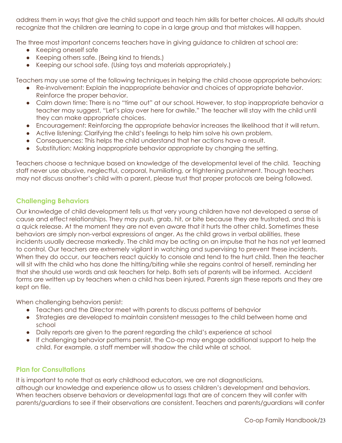address them in ways that give the child support and teach him skills for better choices. All adults should recognize that the children are learning to cope in a large group and that mistakes will happen.

The three most important concerns teachers have in giving guidance to children at school are:

- Keeping oneself safe
- Keeping others safe. (Being kind to friends.)
- Keeping our school safe. (Using toys and materials appropriately.)

Teachers may use some of the following techniques in helping the child choose appropriate behaviors:

- Re-involvement: Explain the inappropriate behavior and choices of appropriate behavior. Reinforce the proper behavior.
- Calm down time: There is no "time out" at our school. However, to stop inappropriate behavior a teacher may suggest, "Let's play over here for awhile." The teacher will stay with the child until they can make appropriate choices.
- Encouragement: Reinforcing the appropriate behavior increases the likelihood that it will return.
- Active listening: Clarifying the child's feelings to help him solve his own problem.
- Consequences: This helps the child understand that her actions have a result.
- Substitution: Making inappropriate behavior appropriate by changing the setting.

Teachers choose a technique based on knowledge of the developmental level of the child. Teaching staff never use abusive, neglectful, corporal, humiliating, or frightening punishment. Though teachers may not discuss another's child with a parent, please trust that proper protocols are being followed.

#### <span id="page-22-0"></span>**Challenging Behaviors**

Our knowledge of child development tells us that very young children have not developed a sense of cause and effect relationships. They may push, grab, hit, or bite because they are frustrated, and this is a quick release. At the moment they are not even aware that it hurts the other child. Sometimes these behaviors are simply non-verbal expressions of anger. As the child grows in verbal abilities, these incidents usually decrease markedly. The child may be acting on an impulse that he has not yet learned to control. Our teachers are extremely vigilant in watching and supervising to prevent these incidents. When they do occur, our teachers react quickly to console and tend to the hurt child. Then the teacher will sit with the child who has done the hitting/biting while she regains control of herself, reminding her that she should use words and ask teachers for help. Both sets of parents will be informed. Accident forms are written up by teachers when a child has been injured. Parents sign these reports and they are kept on file.

When challenging behaviors persist:

- Teachers and the Director meet with parents to discuss patterns of behavior
- Strategies are developed to maintain consistent messages to the child between home and school
- Daily reports are given to the parent regarding the child's experience at school
- If challenging behavior patterns persist, the Co-op may engage additional support to help the child. For example, a staff member will shadow the child while at school.

#### <span id="page-22-1"></span>**Plan for Consultations**

It is important to note that as early childhood educators, we are not diagnosticians, although our knowledge and experience allow us to assess children's development and behaviors. When teachers observe behaviors or developmental lags that are of concern they will confer with parents/guardians to see if their observations are consistent. Teachers and parents/guardians will confer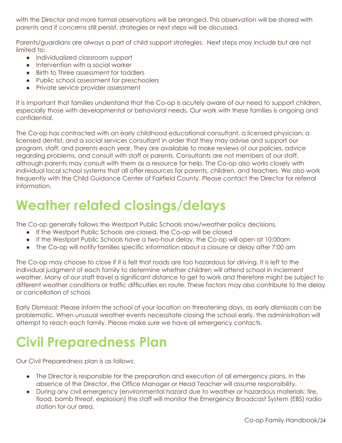with the Director and more formal observations will be arranged. This observation will be shared with parents and if concerns still persist, strategies or next steps will be discussed.

Parents/guardians are always a part of child support strategies. Next steps may include but are not limited to:

- Individualized classroom support
- Intervention with a social worker
- Birth to Three assessment for toddlers
- Public school assessment for preschoolers
- Private service provider assessment

It is important that families understand that the Co-op is acutely aware of our need to support children, especially those with developmental or behavioral needs. Our work with these families is ongoing and confidential.

The Co-op has contracted with an early childhood educational consultant, a licensed physician, a licensed dentist, and a social services consultant in order that they may advise and support our program, staff, and parents each year. They are available to make reviews of our policies, advice regarding problems, and consult with staff or parents. Consultants are not members of our staff, although parents may consult with them as a resource for help. The Co-op also works closely with individual local school systems that all offer resources for parents, children, and teachers. We also work frequently with the Child Guidance Center of Fairfield County. Please contact the Director for referral information.

### <span id="page-23-0"></span>**Weather related closings/delays**

The Co-op generally follows the Westport Public Schools snow/weather policy decisions.

- If the Westport Public Schools are closed, the Co-op will be closed
- If the Westport Public Schools have a two-hour delay, the Co-op will open at 10:00am
- The Co-op will notify families specific information about a closure or delay after 7:00 am

The Co-op may choose to close if it is felt that roads are too hazardous for driving. It is left to the individual judgment of each family to determine whether children will attend school in inclement weather. Many of our staff travel a significant distance to get to work and therefore might be subject to different weather conditions or traffic difficulties en route. These factors may also contribute to the delay or cancellation of school.

Early Dismissal: Please inform the school of your location on threatening days, as early dismissals can be problematic. When unusual weather events necessitate closing the school early, the administration will attempt to reach each family. Please make sure we have all emergency contacts.

# <span id="page-23-1"></span>**Civil Preparedness Plan**

Our Civil Preparedness plan is as follows:

- The Director is responsible for the preparation and execution of all emergency plans. In the absence of the Director, the Office Manager or Head Teacher will assume responsibility.
- During any civil emergency (environmental hazard due to weather or hazardous materials: fire, flood, bomb threat, explosion) the staff will monitor the Emergency Broadcast System (EBS) radio station for our area.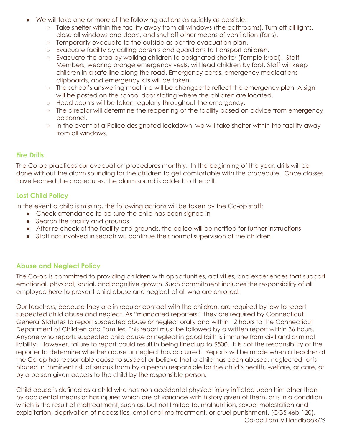- We will take one or more of the following actions as quickly as possible:
	- o Take shelter within the facility away from all windows (the bathrooms). Turn off all lights, close all windows and doors, and shut off other means of ventilation (fans).
	- Temporarily evacuate to the outside as per fire evacuation plan.
	- Evacuate facility by calling parents and guardians to transport children.
	- Evacuate the area by walking children to designated shelter (Temple Israel). Staff Members, wearing orange emergency vests, will lead children by foot. Staff will keep children in a safe line along the road. Emergency cards, emergency medications clipboards, and emergency kits will be taken.
	- The school's answering machine will be changed to reflect the emergency plan. A sign will be posted on the school door stating where the children are located.
	- Head counts will be taken regularly throughout the emergency.
	- The director will determine the reopening of the facility based on advice from emergency personnel.
	- o In the event of a Police designated lockdown, we will take shelter within the facility away from all windows.

#### <span id="page-24-0"></span>**Fire Drills**

The Co-op practices our evacuation procedures monthly. In the beginning of the year, drills will be done without the alarm sounding for the children to get comfortable with the procedure. Once classes have learned the procedures, the alarm sound is added to the drill.

#### <span id="page-24-1"></span>**Lost Child Policy**

In the event a child is missing, the following actions will be taken by the Co-op staff:

- Check attendance to be sure the child has been signed in
- Search the facility and grounds
- After re-check of the facility and grounds, the police will be notified for further instructions
- Staff not involved in search will continue their normal supervision of the children

#### <span id="page-24-2"></span>**Abuse and Neglect Policy**

The Co-op is committed to providing children with opportunities, activities, and experiences that support emotional, physical, social, and cognitive growth. Such commitment includes the responsibility of all employed here to prevent child abuse and neglect of all who are enrolled.

Our teachers, because they are in regular contact with the children, are required by law to report suspected child abuse and neglect. As "mandated reporters," they are required by Connecticut General Statutes to report suspected abuse or neglect orally and within 12 hours to the Connecticut Department of Children and Families. This report must be followed by a written report within 36 hours. Anyone who reports suspected child abuse or neglect in good faith is immune from civil and criminal liability. However, failure to report could result in being fined up to \$500. It is not the responsibility of the reporter to determine whether abuse or neglect has occurred. Reports will be made when a teacher at the Co-op has reasonable cause to suspect or believe that a child has been abused, neglected, or is placed in imminent risk of serious harm by a person responsible for the child's health, welfare, or care, or by a person given access to the child by the responsible person.

Child abuse is defined as a child who has non-accidental physical injury inflicted upon him other than by accidental means or has injuries which are at variance with history given of them, or is in a condition which is the result of maltreatment, such as, but not limited to, malnutrition, sexual molestation and exploitation, deprivation of necessities, emotional maltreatment, or cruel punishment. (CGS 46b-120). Co-op Family Handbook/25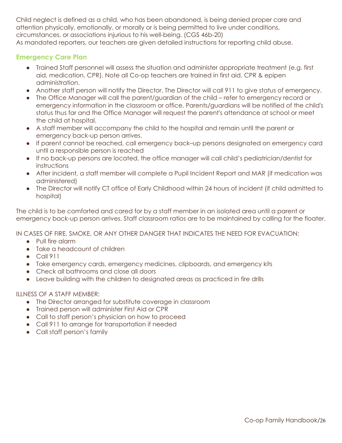Child neglect is defined as a child, who has been abandoned, is being denied proper care and attention physically, emotionally, or morally or is being permitted to live under conditions, circumstances, or associations injurious to his well-being. (CGS 46b-20) As mandated reporters, our teachers are given detailed instructions for reporting child abuse.

#### <span id="page-25-0"></span>**Emergency Care Plan**

- Trained Staff personnel will assess the situation and administer appropriate treatment (e.g. first aid, medication, CPR). Note all Co-op teachers are trained in first aid, CPR & epipen administration.
- Another staff person will notify the Director. The Director will call 911 to give status of emergency.
- The Office Manager will call the parent/guardian of the child refer to emergency record or emergency information in the classroom or office. Parents/guardians will be notified of the child's status thus far and the Office Manager will request the parent's attendance at school or meet the child at hospital.
- A staff member will accompany the child to the hospital and remain until the parent or emergency back-up person arrives.
- If parent cannot be reached, call emergency back–up persons designated on emergency card until a responsible person is reached
- If no back-up persons are located, the office manager will call child's pediatrician/dentist for instructions
- After incident, a staff member will complete a Pupil Incident Report and MAR (if medication was administered)
- The Director will notify CT office of Early Childhood within 24 hours of incident (if child admitted to hospital)

The child is to be comforted and cared for by a staff member in an isolated area until a parent or emergency back-up person arrives. Staff classroom ratios are to be maintained by calling for the floater.

IN CASES OF FIRE, SMOKE, OR ANY OTHER DANGER THAT INDICATES THE NEED FOR EVACUATION:

- Pull fire alarm
- Take a headcount of children
- Call 911
- Take emergency cards, emergency medicines, clipboards, and emergency kits
- Check all bathrooms and close all doors
- Leave building with the children to designated areas as practiced in fire drills

#### ILLNESS OF A STAFF MEMBER:

- The Director arranged for substitute coverage in classroom
- Trained person will administer First Aid or CPR
- Call to staff person's physician on how to proceed
- Call 911 to arrange for transportation if needed
- Call staff person's family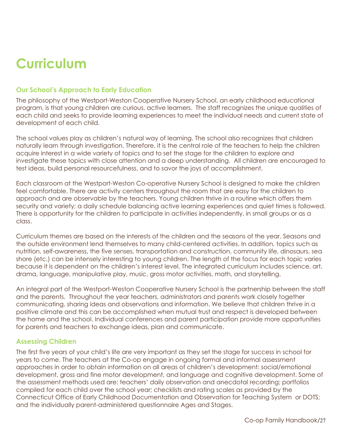# <span id="page-26-0"></span>**Curriculum**

#### <span id="page-26-1"></span>**Our School's Approach to Early Education**

The philosophy of the Westport-Weston Cooperative Nursery School, an early childhood educational program, is that young children are curious, active learners. The staff recognizes the unique qualities of each child and seeks to provide learning experiences to meet the individual needs and current state of development of each child.

The school values play as children's natural way of learning. The school also recognizes that children naturally learn through investigation. Therefore, it is the central role of the teachers to help the children acquire interest in a wide variety of topics and to set the stage for the children to explore and investigate these topics with close attention and a deep understanding. All children are encouraged to test ideas, build personal resourcefulness, and to savor the joys of accomplishment.

Each classroom at the Westport-Weston Co-operative Nursery School is designed to make the children feel comfortable. There are activity centers throughout the room that are easy for the children to approach and are observable by the teachers. Young children thrive in a routine which offers them security and variety; a daily schedule balancing active learning experiences and quiet times is followed. There is opportunity for the children to participate in activities independently, in small groups or as a class.

Curriculum themes are based on the interests of the children and the seasons of the year. Seasons and the outside environment lend themselves to many child-centered activities. In addition, topics such as nutrition, self-awareness, the five senses, transportation and construction, community life, dinosaurs, sea shore (etc.) can be intensely interesting to young children. The length of the focus for each topic varies because it is dependent on the children's interest level. The integrated curriculum includes science, art, drama, language, manipulative play, music, gross motor activities, math, and storytelling.

An integral part of the Westport-Weston Cooperative Nursery School is the partnership between the staff and the parents. Throughout the year teachers, administrators and parents work closely together communicating, sharing ideas and observations and information. We believe that children thrive in a positive climate and this can be accomplished when mutual trust and respect is developed between the home and the school. Individual conferences and parent participation provide more opportunities for parents and teachers to exchange ideas, plan and communicate.

#### <span id="page-26-2"></span>**Assessing Children**

The first five years of your child's life are very important as they set the stage for success in school for years to come. The teachers at the Co-op engage in ongoing formal and informal assessment approaches in order to obtain information on all areas of children's development: social/emotional development, gross and fine motor development, and language and cognitive development. Some of the assessment methods used are: teachers' daily observation and anecdotal recording; portfolios compiled for each child over the school year; checklists and rating scales as provided by the Connecticut Office of Early Childhood Documentation and Observation for Teaching System or DOTS; and the individually parent-administered questionnaire Ages and Stages.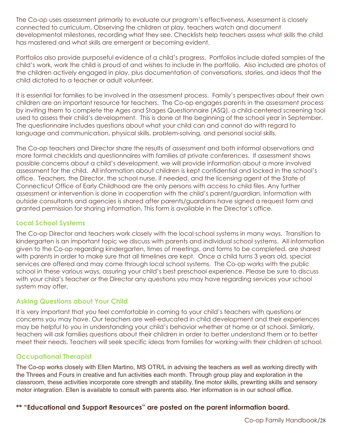The Co-op uses assessment primarily to evaluate our program's effectiveness. Assessment is closely connected to curriculum. Observing the children at play, teachers watch and document developmental milestones, recording what they see. Checklists help teachers assess what skills the child has mastered and what skills are emergent or becoming evident.

Portfolios also provide purposeful evidence of a child's progress. Portfolios include dated samples of the child's work, work the child is proud of and wishes to include in the portfolio. Also included are photos of the children actively engaged in play, plus documentation of conversations, stories, and ideas that the child dictated to a teacher or adult volunteer.

It is essential for families to be involved in the assessment process. Family's perspectives about their own children are an important resource for teachers. The Co-op engages parents in the assessment process by inviting them to complete the Ages and Stages Questionnaire (ASQ), a child-centered screening tool used to assess their child's development. This is done at the beginning of the school year in September. The questionnaire includes questions about what your child can and cannot do with regard to language and communication, physical skills, problem-solving, and personal social skills.

The Co-op teachers and Director share the results of assessment and both informal observations and more formal checklists and questionnaires with families at private conferences. If assessment shows possible concerns about a child's development, we will provide information about a more involved assessment for the child. All information about children is kept confidential and locked in the school's office. Teachers, the Director, the school nurse, if needed, and the licensing agent of the State of Connecticut Office of Early Childhood are the only persons with access to child files. Any further assessment or intervention is done in cooperation with the child's parent/guardian. Information with outside consultants and agencies is shared after parents/guardians have signed a request form and granted permission for sharing information. This form is available in the Director's office.

#### <span id="page-27-0"></span>**Local School Systems**

The Co-op Director and teachers work closely with the local school systems in many ways. Transition to kindergarten is an important topic we discuss with parents and individual school systems. All information given to the Co-op regarding kindergarten, times of meetings, and forms to be completed, are shared with parents in order to make sure that all timelines are kept. Once a child turns 3 years old, special services are offered and may come through local school systems. The Co-op works with the public school in these various ways, assuring your child's best preschool experience. Please be sure to discuss with your child's teacher or the Director any questions you may have regarding services your school system may offer.

#### <span id="page-27-1"></span>**Asking Questions about Your Child**

It is very important that you feel comfortable in coming to your child's teachers with questions or concerns you may have. Our teachers are well-educated in child development and their experiences may be helpful to you in understanding your child's behavior whether at home or at school. Similarly, teachers will ask families questions about their children in order to better understand them or to better meet their needs. Teachers will seek specific ideas from families for working with their children at school.

#### <span id="page-27-2"></span>**Occupational Therapist**

The Co-op works closely with Ellen Martino, MS OTR/L in advising the teachers as well as working directly with the Threes and Fours in creative and fun activities each month. Through group play and exploration in the classroom, these activities incorporate core strength and stability, fine motor skills, prewriting skills and sensory motor integration. Ellen is available to consult with parents also. Her information is in our school office.

#### **\*\* "Educational and Support Resources" are posted on the parent information board.**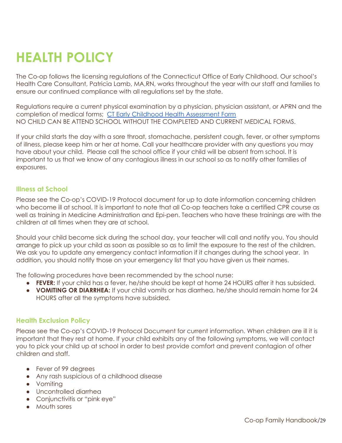# <span id="page-28-0"></span>**HEALTH POLICY**

The Co-op follows the licensing regulations of the Connecticut Office of Early Childhood. Our school's Health Care Consultant, Patricia Lamb, MA,RN, works throughout the year with our staff and families to ensure our continued compliance with all regulations set by the state.

Regulations require a current physical examination by a physician, physician assistant, or APRN and the completion of medical forms; CT Early Childhood Health [Assessment](https://www.ctoec.org/wp-content/uploads/2019/02/cdc_childhlthassessrcd.pdf) Form NO CHILD CAN BE ATTEND SCHOOL WITHOUT THE COMPLETED AND CURRENT MEDICAL FORMS.

If your child starts the day with a sore throat, stomachache, persistent cough, fever, or other symptoms of illness, please keep him or her at home. Call your healthcare provider with any questions you may have about your child. Please call the school office if your child will be absent from school. It is important to us that we know of any contagious illness in our school so as to notify other families of exposures.

#### <span id="page-28-1"></span>**Illness at School**

Please see the Co-op's COVID-19 Protocol document for up to date information concerning children who become ill at school. It is important to note that all Co-op teachers take a certified CPR course as well as training in Medicine Administration and Epi-pen. Teachers who have these trainings are with the children at all times when they are at school.

Should your child become sick during the school day, your teacher will call and notify you. You should arrange to pick up your child as soon as possible so as to limit the exposure to the rest of the children. We ask you to update any emergency contact information if it changes during the school year. In addition, you should notify those on your emergency list that you have given us their names.

The following procedures have been recommended by the school nurse:

- **FEVER:** If your child has a fever, he/she should be kept at home 24 HOURS after it has subsided.
- **VOMITING OR DIARRHEA:** If your child vomits or has diarrhea, he/she should remain home for 24 HOURS after all the symptoms have subsided.

#### <span id="page-28-2"></span>**Health Exclusion Policy**

Please see the Co-op's COVID-19 Protocol Document for current information. When children are ill it is important that they rest at home. If your child exhibits any of the following symptoms, we will contact you to pick your child up at school in order to best provide comfort and prevent contagion of other children and staff.

- Fever of 99 degrees
- Any rash suspicious of a childhood disease
- Vomiting
- Uncontrolled diarrhea
- Conjunctivitis or "pink eye"
- Mouth sores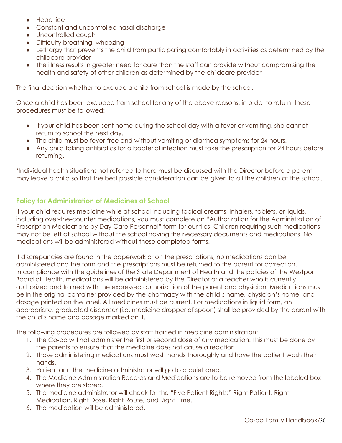- Head lice
- Constant and uncontrolled nasal discharge
- Uncontrolled cough
- Difficulty breathing, wheezing
- Lethargy that prevents the child from participating comfortably in activities as determined by the childcare provider
- The illness results in greater need for care than the staff can provide without compromising the health and safety of other children as determined by the childcare provider

The final decision whether to exclude a child from school is made by the school.

Once a child has been excluded from school for any of the above reasons, in order to return, these procedures must be followed:

- If your child has been sent home during the school day with a fever or vomiting, she cannot return to school the next day.
- The child must be fever-free and without vomiting or diarrhea symptoms for 24 hours.
- Any child taking antibiotics for a bacterial infection must take the prescription for 24 hours before returning.

\*Individual health situations not referred to here must be discussed with the Director before a parent may leave a child so that the best possible consideration can be given to all the children at the school.

#### <span id="page-29-0"></span>**Policy for Administration of Medicines at School**

If your child requires medicine while at school including topical creams, inhalers, tablets, or liquids, including over-the-counter medications, you must complete an "Authorization for the Administration of Prescription Medications by Day Care Personnel" form for our files. Children requiring such medications may not be left at school without the school having the necessary documents and medications. No medications will be administered without these completed forms.

If discrepancies are found in the paperwork or on the prescriptions, no medications can be administered and the form and the prescriptions must be returned to the parent for correction. In compliance with the guidelines of the State Department of Health and the policies of the Westport Board of Health, medications will be administered by the Director or a teacher who is currently authorized and trained with the expressed authorization of the parent and physician. Medications must be in the original container provided by the pharmacy with the child's name, physician's name, and dosage printed on the label. All medicines must be current. For medications in liquid form, an appropriate, graduated dispenser (i.e. medicine dropper of spoon) shall be provided by the parent with the child's name and dosage marked on it.

The following procedures are followed by staff trained in medicine administration:

- 1. The Co-op will not administer the first or second dose of any medication. This must be done by the parents to ensure that the medicine does not cause a reaction.
- 2. Those administering medications must wash hands thoroughly and have the patient wash their hands.
- 3. Patient and the medicine administrator will go to a quiet area.
- 4. The Medicine Administration Records and Medications are to be removed from the labeled box where they are stored.
- 5. The medicine administrator will check for the "Five Patient Rights:" Right Patient, Right Medication, Right Dose, Right Route, and Right Time.
- 6. The medication will be administered.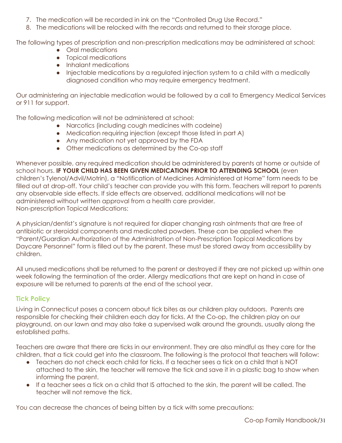- 7. The medication will be recorded in ink on the "Controlled Drug Use Record."
- 8. The medications will be relocked with the records and returned to their storage place.

The following types of prescription and non-prescription medications may be administered at school:

- Oral medications
- Topical medications
- Inhalant medications
- Injectable medications by a regulated injection system to a child with a medically diagnosed condition who may require emergency treatment.

Our administering an injectable medication would be followed by a call to Emergency Medical Services or 911 for support.

The following medication will not be administered at school:

- Narcotics (including cough medicines with codeine)
- Medication requiring injection (except those listed in part A)
- Any medication not yet approved by the FDA
- Other medications as determined by the Co-op staff

Whenever possible, any required medication should be administered by parents at home or outside of school hours. **IF YOUR CHILD HAS BEEN GIVEN MEDICATION PRIOR TO ATTENDING SCHOOL** (even children's Tylenol/Advil/Motrin), a "Notification of Medicines Administered at Home" form needs to be filled out at drop-off. Your child's teacher can provide you with this form. Teachers will report to parents any observable side effects. If side effects are observed, additional medications will not be administered without written approval from a health care provider. Non-prescription Topical Medications:

A physician/dentist's signature is not required for diaper changing rash ointments that are free of antibiotic or steroidal components and medicated powders. These can be applied when the "Parent/Guardian Authorization of the Administration of Non-Prescription Topical Medications by Daycare Personnel" form is filled out by the parent. These must be stored away from accessibility by children.

All unused medications shall be returned to the parent or destroyed if they are not picked up within one week following the termination of the order. Allergy medications that are kept on hand in case of exposure will be returned to parents at the end of the school year.

#### <span id="page-30-0"></span>**Tick Policy**

Living in Connecticut poses a concern about tick bites as our children play outdoors. Parents are responsible for checking their children each day for ticks. At the Co-op, the children play on our playground, on our lawn and may also take a supervised walk around the grounds, usually along the established paths.

Teachers are aware that there are ticks in our environment. They are also mindful as they care for the children, that a tick could get into the classroom. The following is the protocol that teachers will follow:

- Teachers do not check each child for ticks. If a teacher sees a tick on a child that is NOT attached to the skin, the teacher will remove the tick and save it in a plastic bag to show when informing the parent.
- If a teacher sees a tick on a child that IS attached to the skin, the parent will be called. The teacher will not remove the tick.

You can decrease the chances of being bitten by a tick with some precautions: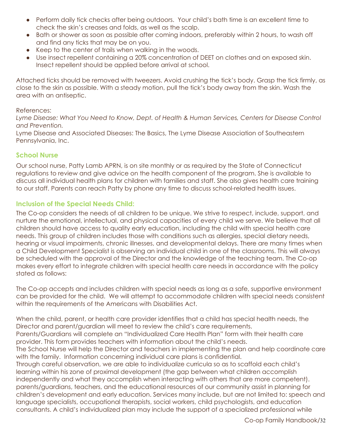- Perform daily tick checks after being outdoors. Your child's bath time is an excellent time to check the skin's creases and folds, as well as the scalp.
- Bath or shower as soon as possible after coming indoors, preferably within 2 hours, to wash off and find any ticks that may be on you.
- Keep to the center of trails when walking in the woods.
- Use insect repellent containing a 20% concentration of DEET on clothes and on exposed skin. Insect repellent should be applied before arrival at school.

Attached ticks should be removed with tweezers. Avoid crushing the tick's body. Grasp the tick firmly, as close to the skin as possible. With a steady motion, pull the tick's body away from the skin. Wash the area with an antiseptic.

#### References:

*Lyme Disease: What You Need to Know, Dept. of Health & Human Services, Centers for Disease Control and Prevention.*

Lyme Disease and Associated Diseases: The Basics, The Lyme Disease Association of Southeastern Pennsylvania, Inc.

#### <span id="page-31-0"></span>**School Nurse**

Our school nurse, Patty Lamb APRN, is on site monthly or as required by the State of Connecticut regulations to review and give advice on the health component of the program. She is available to discuss all individual health plans for children with families and staff. She also gives health care training to our staff. Parents can reach Patty by phone any time to discuss school-related health issues.

#### **Inclusion of the Special Needs Child:**

The Co-op considers the needs of all children to be unique. We strive to respect, include, support, and nurture the emotional, intellectual, and physical capacities of every child we serve. We believe that all children should have access to quality early education, including the child with special health care needs. This group of children includes those with conditions such as allergies, special dietary needs, hearing or visual impairments, chronic illnesses, and developmental delays. There are many times when a Child Development Specialist is observing an individual child in one of the classrooms. This will always be scheduled with the approval of the Director and the knowledge of the teaching team. The Co-op makes every effort to integrate children with special health care needs in accordance with the policy stated as follows:

The Co-op accepts and includes children with special needs as long as a safe, supportive environment can be provided for the child. We will attempt to accommodate children with special needs consistent within the requirements of the Americans with Disabilities Act.

When the child, parent, or health care provider identifies that a child has special health needs, the Director and parent/guardian will meet to review the child's care requirements.

Parents/Guardians will complete an "Individualized Care Health Plan" form with their health care provider. This form provides teachers with information about the child's needs.

The School Nurse will help the Director and teachers in implementing the plan and help coordinate care with the family. Information concerning individual care plans is confidential.

Through careful observation, we are able to individualize curricula so as to scaffold each child's learning within his zone of proximal development (the gap between what children accomplish independently and what they accomplish when interacting with others that are more competent). parents/guardians, teachers, and the educational resources of our community assist in planning for children's development and early education. Services many include, but are not limited to: speech and language specialists, occupational therapists, social workers, child psychologists, and education consultants. A child's individualized plan may include the support of a specialized professional while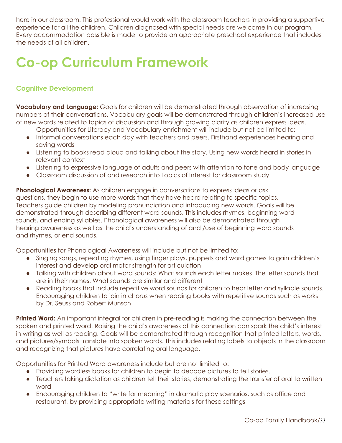here in our classroom. This professional would work with the classroom teachers in providing a supportive experience for all the children. Children diagnosed with special needs are welcome in our program. Every accommodation possible is made to provide an appropriate preschool experience that includes the needs of all children.

# <span id="page-32-0"></span>**Co-op Curriculum Framework**

#### <span id="page-32-1"></span>**Cognitive Development**

**Vocabulary and Language:** Goals for children will be demonstrated through observation of increasing numbers of their conversations. Vocabulary goals will be demonstrated through children's increased use of new words related to topics of discussion and through growing clarity as children express ideas.

- Opportunities for Literacy and Vocabulary enrichment will include but not be limited to:
- Informal conversations each day with teachers and peers. Firsthand experiences hearing and saying words
- Listening to books read aloud and talking about the story. Using new words heard in stories in relevant context
- Listening to expressive language of adults and peers with attention to tone and body language
- Classroom discussion of and research into Topics of Interest for classroom study

**Phonological Awareness:** As children engage in conversations to express ideas or ask questions, they begin to use more words that they have heard relating to specific topics. Teachers guide children by modeling pronunciation and introducing new words. Goals will be demonstrated through describing different word sounds. This includes rhymes, beginning word sounds, and ending syllables. Phonological awareness will also be demonstrated through hearing awareness as well as the child's understanding of and /use of beginning word sounds and rhymes, or end sounds.

Opportunities for Phonological Awareness will include but not be limited to:

- Singing songs, repeating rhymes, using finger plays, puppets and word games to gain children's interest and develop oral motor strength for articulation
- Talking with children about word sounds: What sounds each letter makes. The letter sounds that are in their names. What sounds are similar and different
- Reading books that include repetitive word sounds for children to hear letter and syllable sounds. Encouraging children to join in chorus when reading books with repetitive sounds such as works by Dr. Seuss and Robert Munsch

**Printed Word:** An important integral for children in pre-reading is making the connection between the spoken and printed word. Raising the child's awareness of this connection can spark the child's interest in writing as well as reading. Goals will be demonstrated through recognition that printed letters, words, and pictures/symbols translate into spoken words. This includes relating labels to objects in the classroom and recognizing that pictures have correlating oral language.

Opportunities for Printed Word awareness include but are not limited to:

- Providing wordless books for children to begin to decode pictures to tell stories.
- Teachers taking dictation as children tell their stories, demonstrating the transfer of oral to written word
- Encouraging children to "write for meaning" in dramatic play scenarios, such as office and restaurant, by providing appropriate writing materials for these settings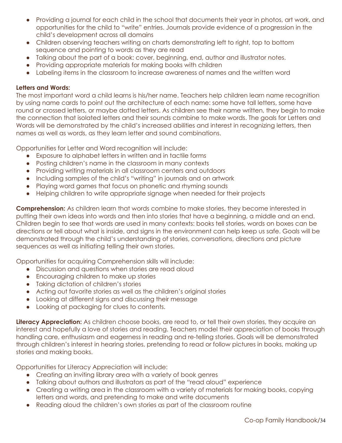- Providing a journal for each child in the school that documents their year in photos, art work, and opportunities for the child to "write" entries. Journals provide evidence of a progression in the child's development across all domains
- Children observing teachers writing on charts demonstrating left to right, top to bottom sequence and pointing to words as they are read
- Talking about the part of a book: cover, beginning, end, author and illustrator notes.
- Providing appropriate materials for making books with children
- Labeling items in the classroom to increase awareness of names and the written word

#### **Letters and Words:**

The most important word a child learns is his/her name. Teachers help children learn name recognition by using name cards to point out the architecture of each name: some have tall letters, some have round or crossed letters, or maybe dotted letters. As children see their name written, they begin to make the connection that isolated letters and their sounds combine to make words. The goals for Letters and Words will be demonstrated by the child's increased abilities and interest in recognizing letters, then names as well as words, as they learn letter and sound combinations.

Opportunities for Letter and Word recognition will include:

- Exposure to alphabet letters in written and in tactile forms
- Posting children's name in the classroom in many contexts
- Providing writing materials in all classroom centers and outdoors
- Including samples of the child's "writing" in journals and on artwork
- Playing word games that focus on phonetic and rhyming sounds
- Helping children to write appropriate signage when needed for their projects

**Comprehension:** As children learn that words combine to make stories, they become interested in putting their own ideas into words and then into stories that have a beginning, a middle and an end. Children begin to see that words are used in many contexts: books tell stories, words on boxes can be directions or tell about what is inside, and signs in the environment can help keep us safe. Goals will be demonstrated through the child's understanding of stories, conversations, directions and picture sequences as well as initiating telling their own stories.

Opportunities for acquiring Comprehension skills will include:

- Discussion and questions when stories are read aloud
- Encouraging children to make up stories
- Taking dictation of children's stories
- Acting out favorite stories as well as the children's original stories
- Looking at different signs and discussing their message
- Looking at packaging for clues to contents.

**Literacy Appreciation:** As children choose books, are read to, or tell their own stories, they acquire an interest and hopefully a love of stories and reading. Teachers model their appreciation of books through handling care, enthusiasm and eagerness in reading and re-telling stories. Goals will be demonstrated through children's interest in hearing stories, pretending to read or follow pictures in books, making up stories and making books.

Opportunities for Literacy Appreciation will include:

- Creating an inviting library area with a variety of book genres
- Talking about authors and illustrators as part of the "read aloud" experience
- Creating a writing area in the classroom with a variety of materials for making books, copying letters and words, and pretending to make and write documents
- Reading aloud the children's own stories as part of the classroom routine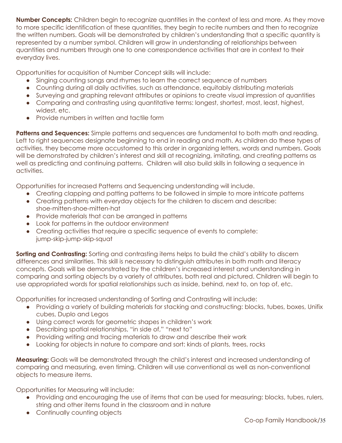**Number Concepts:** Children begin to recognize quantities in the context of less and more. As they move to more specific identification of these quantities, they begin to recite numbers and then to recognize the written numbers. Goals will be demonstrated by children's understanding that a specific quantity is represented by a number symbol. Children will grow in understanding of relationships between quantities and numbers through one to one correspondence activities that are in context to their everyday lives.

Opportunities for acquisition of Number Concept skills will include:

- Singing counting songs and rhymes to learn the correct sequence of numbers
- Counting during all daily activities, such as attendance, equitably distributing materials
- Surveying and graphing relevant attributes or opinions to create visual impression of quantities
- Comparing and contrasting using quantitative terms: longest, shortest, most, least, highest, widest, etc.
- Provide numbers in written and tactile form

**Patterns and Sequences:** Simple patterns and sequences are fundamental to both math and reading. Left to right sequences designate beginning to end in reading and math. As children do these types of activities, they become more accustomed to this order in organizing letters, words and numbers. Goals will be demonstrated by children's interest and skill at recognizing, imitating, and creating patterns as well as predicting and continuing patterns. Children will also build skills in following a sequence in activities.

Opportunities for increased Patterns and Sequencing understanding will include.

- Creating clapping and patting patterns to be followed in simple to more intricate patterns
- Creating patterns with everyday objects for the children to discern and describe: shoe-mitten-shoe-mitten-hat
- Provide materials that can be arranged in patterns
- Look for patterns in the outdoor environment
- Creating activities that require a specific sequence of events to complete: jump-skip-jump-skip-squat

**Sorting and Contrasting:** Sorting and contrasting items helps to build the child's ability to discern differences and similarities. This skill is necessary to distinguish attributes in both math and literacy concepts. Goals will be demonstrated by the children's increased interest and understanding in comparing and sorting objects by a variety of attributes, both real and pictured. Children will begin to use appropriated words for spatial relationships such as inside, behind, next to, on top of, etc.

Opportunities for increased understanding of Sorting and Contrasting will include:

- Providing a variety of building materials for stacking and constructing: blocks, tubes, boxes, Unifix cubes, Duplo and Legos
- Using correct words for geometric shapes in children's work
- Describing spatial relationships, "in side of," "next to"
- Providing writing and tracing materials to draw and describe their work
- Looking for objects in nature to compare and sort: kinds of plants, trees, rocks

**Measuring:** Goals will be demonstrated through the child's interest and increased understanding of comparing and measuring, even timing. Children will use conventional as well as non-conventional objects to measure items.

Opportunities for Measuring will include:

- Providing and encouraging the use of items that can be used for measuring: blocks, tubes, rulers, string and other items found in the classroom and in nature
- Continually counting objects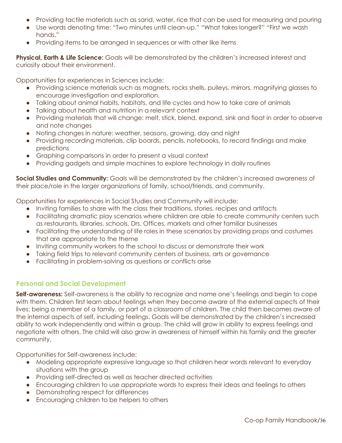- Providing tactile materials such as sand, water, rice that can be used for measuring and pouring
- Use words denoting time: "Two minutes until clean-up." "What takes longer?" "First we wash hands."
- Providing items to be arranged in sequences or with other like items

**Physical, Earth & Life Science:** Goals will be demonstrated by the children's increased interest and curiosity about their environment.

Opportunities for experiences in Sciences include:

- Providing science materials such as magnets, rocks shells, pulleys, mirrors, magnifying glasses to encourage investigation and exploration.
- Talking about animal habits, habitats, and life cycles and how to take care of animals
- Talking about health and nutrition in a relevant context
- Providing materials that will change: melt, stick, blend, expand, sink and float in order to observe and note changes
- Noting changes in nature: weather, seasons, growing, day and night
- Providing recording materials, clip boards, pencils, notebooks, to record findings and make predictions
- Graphing comparisons in order to present a visual context
- Providing gadgets and simple machines to explore technology in daily routines

**Social Studies and Community:** Goals will be demonstrated by the children's increased awareness of their place/role in the larger organizations of family, school/friends, and community.

Opportunities for experiences in Social Studies and Community will include:

- Inviting families to share with the class their traditions, stories, recipes and artifacts
- Facilitating dramatic play scenarios where children are able to create community centers such as restaurants, libraries, schools, Drs. Offices, markets and other familiar businesses
- Facilitating the understanding of life roles in these scenarios by providing props and costumes that are appropriate to the theme
- Inviting community workers to the school to discuss or demonstrate their work
- Taking field trips to relevant community centers of business, arts or governance
- Facilitating in problem-solving as questions or conflicts arise

#### <span id="page-35-0"></span>**Personal and Social Development**

**Self-awareness:** Self-awareness is the ability to recognize and name one's feelings and begin to cope with them. Children first learn about feelings when they become aware of the external aspects of their lives; being a member of a family, or part of a classroom of children. The child then becomes aware of the internal aspects of self, including feelings. Goals will be demonstrated by the children's increased ability to work independently and within a group. The child will grow in ability to express feelings and negotiate with others. The child will also grow in awareness of himself within his family and the greater community.

Opportunities for Self-awareness include:

- Modeling appropriate expressive language so that children hear words relevant to everyday situations with the group
- Providing self-directed as well as teacher directed activities
- Encouraging children to use appropriate words to express their ideas and feelings to others
- Demonstrating respect for differences
- Encouraging children to be helpers to others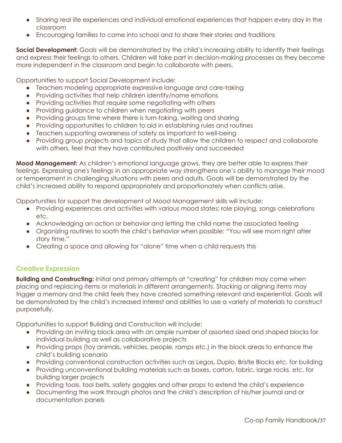- Sharing real life experiences and individual emotional experiences that happen every day in the classroom
- Encouraging families to come into school and to share their stories and traditions

**Social Development:** Goals will be demonstrated by the child's increasing ability to identify their feelings and express their feelings to others. Children will take part in decision-making processes as they become more independent in the classroom and begin to collaborate with peers.

Opportunities to support Social Development include:

- Teachers modeling appropriate expressive language and care-taking
- Providing activities that help children identify/name emotions
- Providing activities that require some negotiating with others
- Providing guidance to children when negotiating with peers
- Providing groups time where there is turn-taking, waiting and sharing
- Providing opportunities to children to aid in establishing rules and routines
- Teachers supporting awareness of safety as important to well-being
- Providing group projects and topics of study that allow the children to respect and collaborate with others, feel that they have contributed positively and succeeded

**Mood Management:** As children's emotional language grows, they are better able to express their feelings. Expressing one's feelings in an appropriate way strengthens one's ability to manage their mood or temperament in challenging situations with peers and adults. Goals will be demonstrated by the child's increased ability to respond appropriately and proportionately when conflicts arise.

Opportunities for support the development of Mood Management skills will include:

- Providing experiences and activities with various mood states; role playing, songs celebrations etc.
- Acknowledging an action or behavior and letting the child name the associated feeling
- Organizing routines to sooth the child's behavior when possible: "You will see mom right after story time."
- Creating a space and allowing for "alone" time when a child requests this

#### <span id="page-36-0"></span>**Creative Expression**

**Building and Constructing:** Initial and primary attempts at "creating" for children may come when placing and replacing items or materials in different arrangements. Stacking or aligning items may trigger a memory and the child feels they have created something relevant and experiential. Goals will be demonstrated by the child's increased interest and abilities to use a variety of materials to construct purposefully.

Opportunities to support Building and Construction will include:

- Providing an inviting block area with an ample number of assorted sized and shaped blocks for individual building as well as collaborative projects
- Providing props (toy animals, vehicles, people, ramps etc.) in the block areas to enhance the child's building scenario
- Providing conventional construction activities such as Legos, Duplo, Bristle Blocks etc. for building
- Providing unconventional building materials such as boxes, carton, fabric, large rocks, etc. for building larger projects
- Providing tools, tool belts, safety goggles and other props to extend the child's experience
- Documenting the work through photos and the child's description of his/her journal and or documentation panels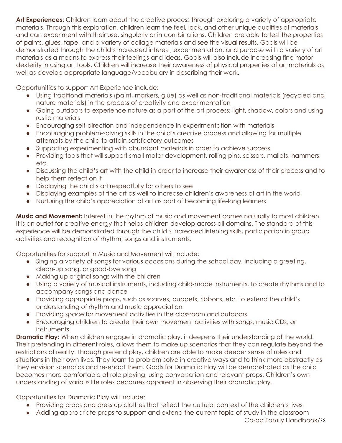**Art Experiences:** Children learn about the creative process through exploring a variety of appropriate materials. Through this exploration, children learn the feel, look, and other unique qualities of materials and can experiment with their use, singularly or in combinations. Children are able to test the properties of paints, glues, tape, and a variety of collage materials and see the visual results. Goals will be demonstrated through the child's increased interest, experimentation, and purpose with a variety of art materials as a means to express their feelings and ideas. Goals will also include increasing fine motor dexterity in using art tools. Children will increase their awareness of physical properties of art materials as well as develop appropriate language/vocabulary in describing their work.

Opportunities to support Art Experience include:

- Using traditional materials (paint, markers, glue) as well as non-traditional materials (recycled and nature materials) in the process of creativity and experimentation
- Going outdoors to experience nature as a part of the art process; light, shadow, colors and using rustic materials
- Encouraging self-direction and independence in experimentation with materials
- Encouraging problem-solving skills in the child's creative process and allowing for multiple attempts by the child to attain satisfactory outcomes
- Supporting experimenting with abundant materials in order to achieve success
- Providing tools that will support small motor development, rolling pins, scissors, mallets, hammers, etc.
- Discussing the child's art with the child in order to increase their awareness of their process and to help them reflect on it
- Displaying the child's art respectfully for others to see
- Displaying examples of fine art as well to increase children's awareness of art in the world
- Nurturing the child's appreciation of art as part of becoming life-long learners

**Music and Movement:** Interest in the rhythm of music and movement comes naturally to most children. It is an outlet for creative energy that helps children develop across all domains. The standard of this experience will be demonstrated through the child's increased listening skills, participation in group activities and recognition of rhythm, songs and instruments.

Opportunities for support in Music and Movement will include:

- Singing a variety of songs for various occasions during the school day, including a greeting, clean-up song, or good-bye song
- Making up original songs with the children
- Using a variety of musical instruments, including child-made instruments, to create rhythms and to accompany songs and dance
- Providing appropriate props, such as scarves, puppets, ribbons, etc. to extend the child's understanding of rhythm and music appreciation
- Providing space for movement activities in the classroom and outdoors
- Encouraging children to create their own movement activities with songs, music CDs, or instruments.

**Dramatic Play:** When children engage in dramatic play, it deepens their understanding of the world. Their pretending in different roles, allows them to make up scenarios that they can regulate beyond the restrictions of reality. Through pretend play, children are able to make deeper sense of roles and situations in their own lives. They learn to problem-solve in creative ways and to think more abstractly as they envision scenarios and re-enact them. Goals for Dramatic Play will be demonstrated as the child becomes more comfortable at role playing, using conversation and relevant props. Children's own understanding of various life roles becomes apparent in observing their dramatic play.

Opportunities for Dramatic Play will include:

- Providing props and dress up clothes that reflect the cultural context of the children's lives
- Adding appropriate props to support and extend the current topic of study in the classroom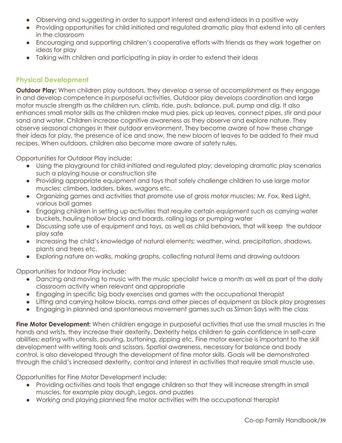- Observing and suggesting in order to support interest and extend ideas in a positive way
- Providing opportunities for child initiated and regulated dramatic play that extend into all centers in the classroom
- Encouraging and supporting children's cooperative efforts with friends as they work together on ideas for play
- Talking with children and participating in play in order to extend their ideas

#### <span id="page-38-0"></span>**Physical Development**

**Outdoor Play:** When children play outdoors, they develop a sense of accomplishment as they engage in and develop competence in purposeful activities. Outdoor play develops coordination and large motor muscle strength as the children run, climb, ride, push, balance, pull, pump and dig. It also enhances small motor skills as the children make mud pies, pick up leaves, connect pipes, stir and pour sand and water. Children increase cognitive awareness as they observe and explore nature. They observe seasonal changes in their outdoor environment. They become aware of how these change their ideas for play, the presence of ice and snow, the new bloom of leaves to be added to their mud recipes. When outdoors, children also become more aware of safety rules.

Opportunities for Outdoor Play include:

- Using the playground for child-initiated and regulated play; developing dramatic play scenarios such a playing house or construction site
- Providing appropriate equipment and toys that safely challenge children to use large motor muscles; climbers, ladders, bikes, wagons etc.
- Organizing games and activities that promote use of gross motor muscles; Mr. Fox, Red Light, various ball games
- Engaging children in setting up activities that require certain equipment such as carrying water buckets, hauling hollow blocks and boards, rolling logs or pumping water
- Discussing safe use of equipment and toys, as well as child behaviors, that will keep the outdoor play safe
- Increasing the child's knowledge of natural elements; weather, wind, precipitation, shadows, plants and trees etc.
- Exploring nature on walks, making graphs, collecting natural items and drawing outdoors

Opportunities for Indoor Play include:

- Dancing and moving to music with the music specialist twice a month as well as part of the daily classroom activity when relevant and appropriate
- Engaging in specific big body exercises and games with the occupational therapist
- Lifting and carrying hollow blocks, ramps and other pieces of equipment as block play progresses
- Engaging in planned and spontaneous movement games such as Simon Says with the class

**Fine Motor Development:** When children engage in purposeful activities that use the small muscles in the hands and wrists, they increase their dexterity. Dexterity helps children to gain confidence in self-care abilities; eating with utensils, pouring, buttoning, zipping etc. Fine motor exercise is important to the skill development with writing tools and scissors. Spatial awareness, necessary for balance and body control, is also developed through the development of fine motor skills. Goals will be demonstrated through the child's increased dexterity, control and interest in activities that require small muscle use.

Opportunities for Fine Motor Development include:

- Providing activities and tools that engage children so that they will increase strength in small muscles, for example play dough, Legos, and puzzles
- Working and playing planned fine motor activities with the occupational therapist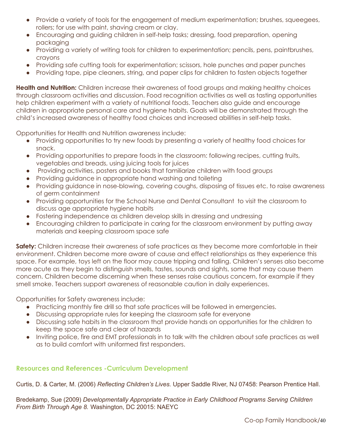- Provide a variety of tools for the engagement of medium experimentation; brushes, squeegees, rollers; for use with paint, shaving cream or clay.
- Encouraging and guiding children in self-help tasks; dressing, food preparation, opening packaging
- Providing a variety of writing tools for children to experimentation; pencils, pens, paintbrushes, crayons
- Providing safe cutting tools for experimentation; scissors, hole punches and paper punches
- Providing tape, pipe cleaners, string, and paper clips for children to fasten objects together

**Health and Nutrition:** Children increase their awareness of food groups and making healthy choices through classroom activities and discussion. Food recognition activities as well as tasting opportunities help children experiment with a variety of nutritional foods. Teachers also guide and encourage children in appropriate personal care and hygiene habits. Goals will be demonstrated through the child's increased awareness of healthy food choices and increased abilities in self-help tasks.

Opportunities for Health and Nutrition awareness include:

- Providing opportunities to try new foods by presenting a variety of healthy food choices for snack.
- Providing opportunities to prepare foods in the classroom: following recipes, cutting fruits, vegetables and breads, using juicing tools for juices
- Providing activities, posters and books that familiarize children with food groups
- Providing quidance in appropriate hand washing and toileting
- Providing guidance in nose-blowing, covering coughs, disposing of tissues etc. to raise awareness of germ containment
- Providing opportunities for the School Nurse and Dental Consultant to visit the classroom to discuss age appropriate hygiene habits
- Fostering independence as children develop skills in dressing and undressing
- Encouraging children to participate in caring for the classroom environment by putting away materials and keeping classroom space safe

**Safety:** Children increase their awareness of safe practices as they become more comfortable in their environment. Children become more aware of cause and effect relationships as they experience this space. For example, toys left on the floor may cause tripping and falling. Children's senses also become more acute as they begin to distinguish smells, tastes, sounds and sights, some that may cause them concern. Children become discerning when these senses raise cautious concern, for example if they smell smoke. Teachers support awareness of reasonable caution in daily experiences.

Opportunities for Safety awareness include:

- Practicing monthly fire drill so that safe practices will be followed in emergencies.
- Discussing appropriate rules for keeping the classroom safe for everyone
- Discussing safe habits in the classroom that provide hands on opportunities for the children to keep the space safe and clear of hazards
- Inviting police, fire and EMT professionals in to talk with the children about safe practices as well as to build comfort with uniformed first responders.

#### <span id="page-39-0"></span>**Resources and References -Curriculum Development**

Curtis, D. & Carter, M. (2006) *Reflecting Children's Lives.* Upper Saddle River, NJ 07458: Pearson Prentice Hall.

Bredekamp, Sue (2009) *Developmentally Appropriate Practice in Early Childhood Programs Serving Children From Birth Through Age 8.* Washington, DC 20015: NAEYC